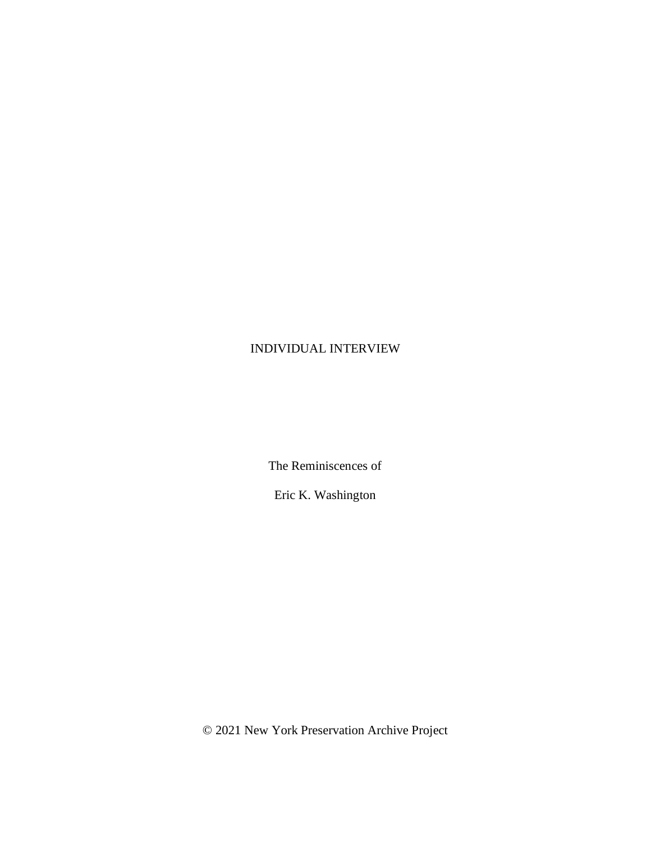## INDIVIDUAL INTERVIEW

The Reminiscences of

Eric K. Washington

© 2021 New York Preservation Archive Project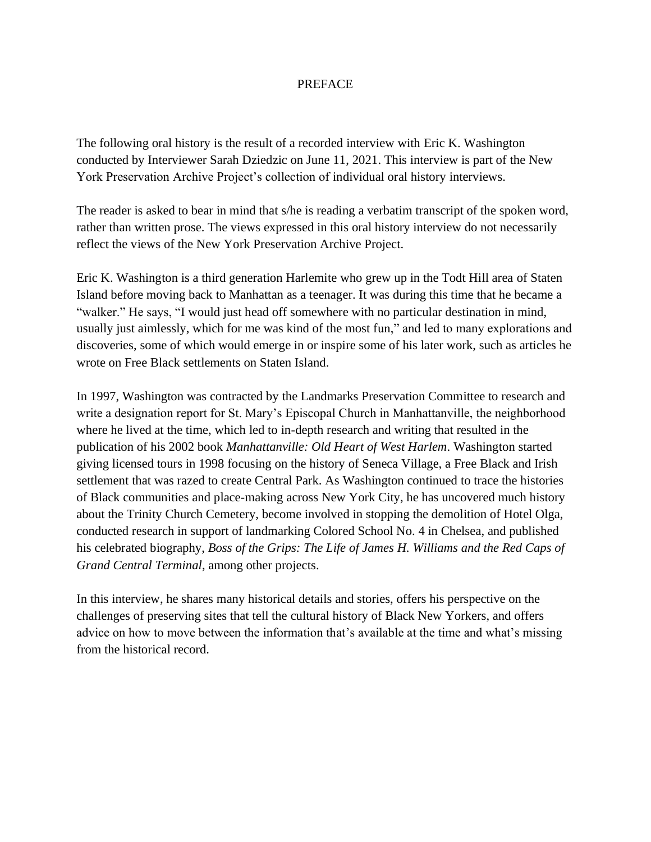## **PREFACE**

The following oral history is the result of a recorded interview with Eric K. Washington conducted by Interviewer Sarah Dziedzic on June 11, 2021. This interview is part of the New York Preservation Archive Project's collection of individual oral history interviews.

The reader is asked to bear in mind that s/he is reading a verbatim transcript of the spoken word, rather than written prose. The views expressed in this oral history interview do not necessarily reflect the views of the New York Preservation Archive Project.

Eric K. Washington is a third generation Harlemite who grew up in the Todt Hill area of Staten Island before moving back to Manhattan as a teenager. It was during this time that he became a "walker." He says, "I would just head off somewhere with no particular destination in mind, usually just aimlessly, which for me was kind of the most fun," and led to many explorations and discoveries, some of which would emerge in or inspire some of his later work, such as articles he wrote on Free Black settlements on Staten Island.

In 1997, Washington was contracted by the Landmarks Preservation Committee to research and write a designation report for St. Mary's Episcopal Church in Manhattanville, the neighborhood where he lived at the time, which led to in-depth research and writing that resulted in the publication of his 2002 book *Manhattanville: Old Heart of West Harlem*. Washington started giving licensed tours in 1998 focusing on the history of Seneca Village, a Free Black and Irish settlement that was razed to create Central Park. As Washington continued to trace the histories of Black communities and place-making across New York City, he has uncovered much history about the Trinity Church Cemetery, become involved in stopping the demolition of Hotel Olga, conducted research in support of landmarking Colored School No. 4 in Chelsea, and published his celebrated biography, *Boss of the Grips: The Life of James H. Williams and the Red Caps of Grand Central Terminal*, among other projects.

In this interview, he shares many historical details and stories, offers his perspective on the challenges of preserving sites that tell the cultural history of Black New Yorkers, and offers advice on how to move between the information that's available at the time and what's missing from the historical record.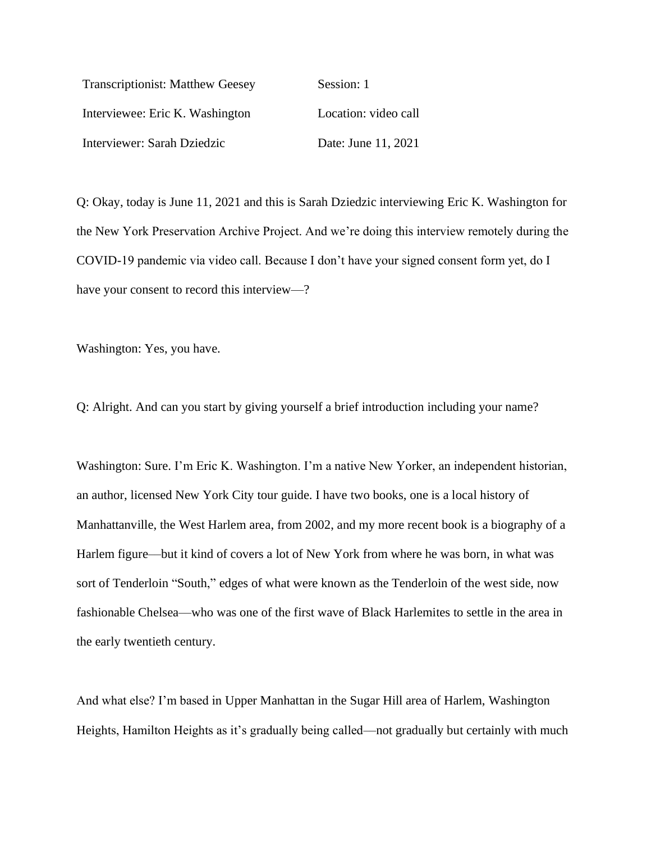| <b>Transcriptionist: Matthew Geesey</b> | Session: 1           |
|-----------------------------------------|----------------------|
| Interviewee: Eric K. Washington         | Location: video call |
| Interviewer: Sarah Dziedzic             | Date: June 11, 2021  |

Q: Okay, today is June 11, 2021 and this is Sarah Dziedzic interviewing Eric K. Washington for the New York Preservation Archive Project. And we're doing this interview remotely during the COVID-19 pandemic via video call. Because I don't have your signed consent form yet, do I have your consent to record this interview—?

Washington: Yes, you have.

Q: Alright. And can you start by giving yourself a brief introduction including your name?

Washington: Sure. I'm Eric K. Washington. I'm a native New Yorker, an independent historian, an author, licensed New York City tour guide. I have two books, one is a local history of Manhattanville, the West Harlem area, from 2002, and my more recent book is a biography of a Harlem figure––but it kind of covers a lot of New York from where he was born, in what was sort of Tenderloin "South," edges of what were known as the Tenderloin of the west side, now fashionable Chelsea––who was one of the first wave of Black Harlemites to settle in the area in the early twentieth century.

And what else? I'm based in Upper Manhattan in the Sugar Hill area of Harlem, Washington Heights, Hamilton Heights as it's gradually being called—not gradually but certainly with much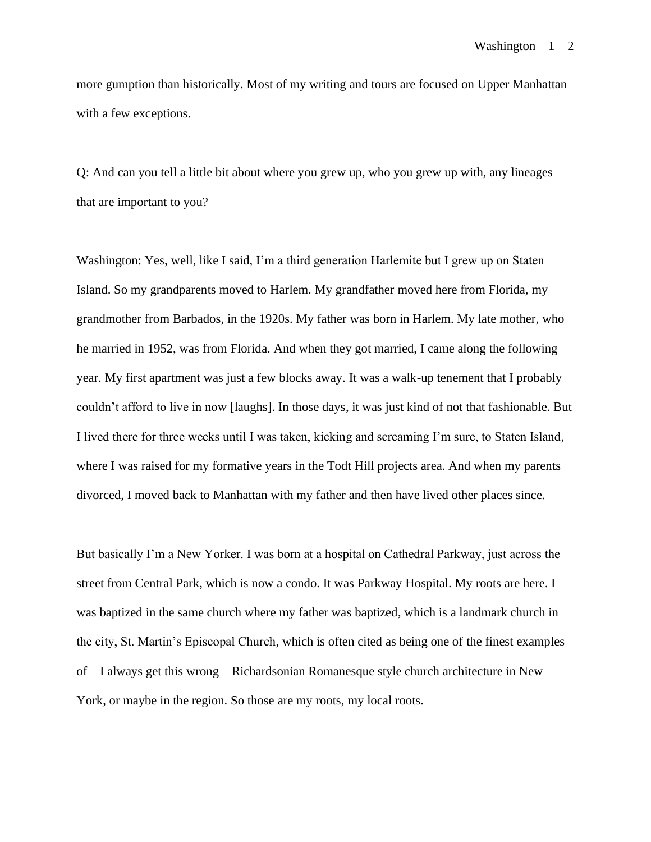more gumption than historically. Most of my writing and tours are focused on Upper Manhattan with a few exceptions.

Q: And can you tell a little bit about where you grew up, who you grew up with, any lineages that are important to you?

Washington: Yes, well, like I said, I'm a third generation Harlemite but I grew up on Staten Island. So my grandparents moved to Harlem. My grandfather moved here from Florida, my grandmother from Barbados, in the 1920s. My father was born in Harlem. My late mother, who he married in 1952, was from Florida. And when they got married, I came along the following year. My first apartment was just a few blocks away. It was a walk-up tenement that I probably couldn't afford to live in now [laughs]. In those days, it was just kind of not that fashionable. But I lived there for three weeks until I was taken, kicking and screaming I'm sure, to Staten Island, where I was raised for my formative years in the Todt Hill projects area. And when my parents divorced, I moved back to Manhattan with my father and then have lived other places since.

But basically I'm a New Yorker. I was born at a hospital on Cathedral Parkway, just across the street from Central Park, which is now a condo. It was Parkway Hospital. My roots are here. I was baptized in the same church where my father was baptized, which is a landmark church in the city, St. Martin's Episcopal Church, which is often cited as being one of the finest examples of—I always get this wrong––Richardsonian Romanesque style church architecture in New York, or maybe in the region. So those are my roots, my local roots.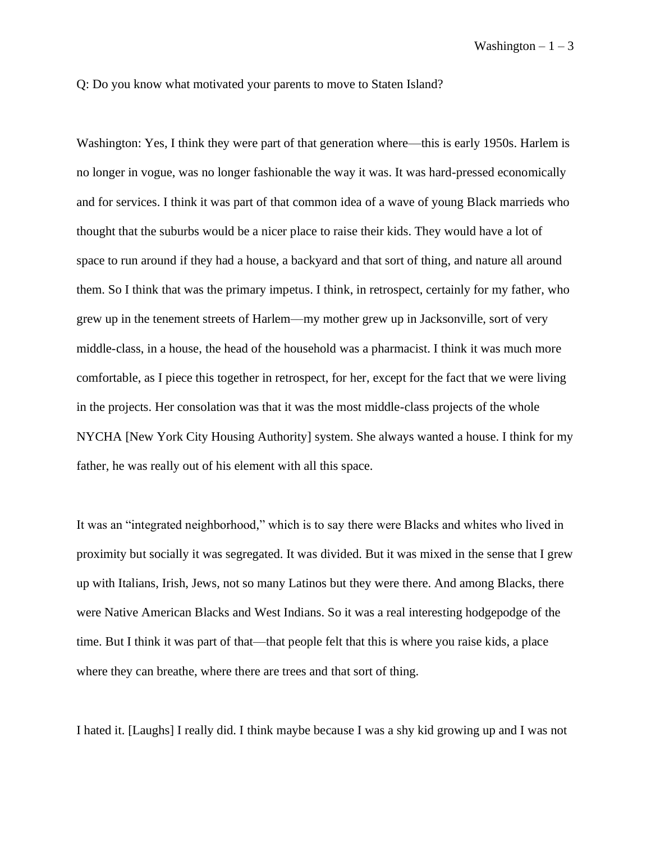Q: Do you know what motivated your parents to move to Staten Island?

Washington: Yes, I think they were part of that generation where—this is early 1950s. Harlem is no longer in vogue, was no longer fashionable the way it was. It was hard-pressed economically and for services. I think it was part of that common idea of a wave of young Black marrieds who thought that the suburbs would be a nicer place to raise their kids. They would have a lot of space to run around if they had a house, a backyard and that sort of thing, and nature all around them. So I think that was the primary impetus. I think, in retrospect, certainly for my father, who grew up in the tenement streets of Harlem––my mother grew up in Jacksonville, sort of very middle-class, in a house, the head of the household was a pharmacist. I think it was much more comfortable, as I piece this together in retrospect, for her, except for the fact that we were living in the projects. Her consolation was that it was the most middle-class projects of the whole NYCHA [New York City Housing Authority] system. She always wanted a house. I think for my father, he was really out of his element with all this space.

It was an "integrated neighborhood," which is to say there were Blacks and whites who lived in proximity but socially it was segregated. It was divided. But it was mixed in the sense that I grew up with Italians, Irish, Jews, not so many Latinos but they were there. And among Blacks, there were Native American Blacks and West Indians. So it was a real interesting hodgepodge of the time. But I think it was part of that—that people felt that this is where you raise kids, a place where they can breathe, where there are trees and that sort of thing.

I hated it. [Laughs] I really did. I think maybe because I was a shy kid growing up and I was not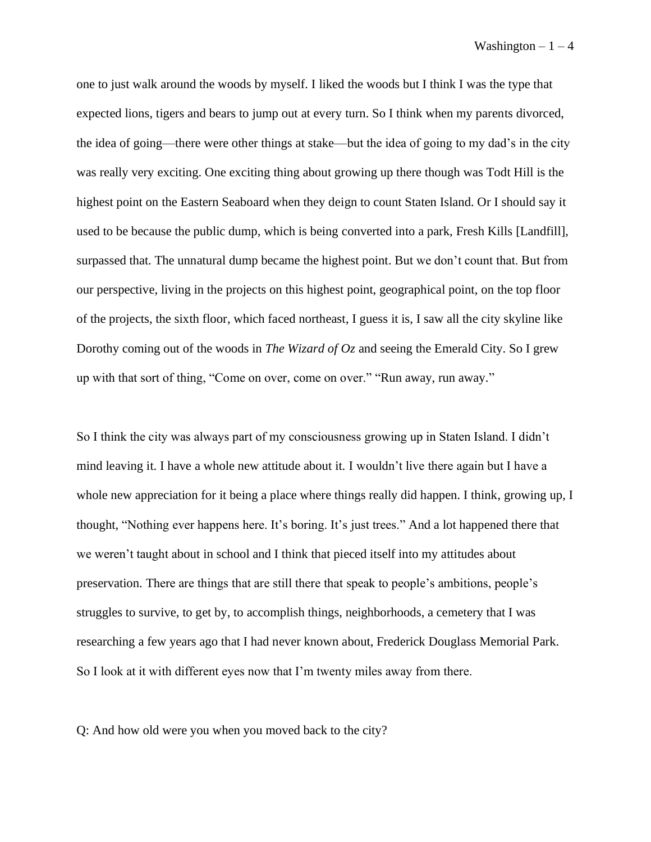one to just walk around the woods by myself. I liked the woods but I think I was the type that expected lions, tigers and bears to jump out at every turn. So I think when my parents divorced, the idea of going—there were other things at stake––but the idea of going to my dad's in the city was really very exciting. One exciting thing about growing up there though was Todt Hill is the highest point on the Eastern Seaboard when they deign to count Staten Island. Or I should say it used to be because the public dump, which is being converted into a park, Fresh Kills [Landfill], surpassed that. The unnatural dump became the highest point. But we don't count that. But from our perspective, living in the projects on this highest point, geographical point, on the top floor of the projects, the sixth floor, which faced northeast, I guess it is, I saw all the city skyline like Dorothy coming out of the woods in *The Wizard of Oz* and seeing the Emerald City. So I grew up with that sort of thing, "Come on over, come on over." "Run away, run away."

So I think the city was always part of my consciousness growing up in Staten Island. I didn't mind leaving it. I have a whole new attitude about it. I wouldn't live there again but I have a whole new appreciation for it being a place where things really did happen. I think, growing up, I thought, "Nothing ever happens here. It's boring. It's just trees." And a lot happened there that we weren't taught about in school and I think that pieced itself into my attitudes about preservation. There are things that are still there that speak to people's ambitions, people's struggles to survive, to get by, to accomplish things, neighborhoods, a cemetery that I was researching a few years ago that I had never known about, Frederick Douglass Memorial Park. So I look at it with different eyes now that I'm twenty miles away from there.

Q: And how old were you when you moved back to the city?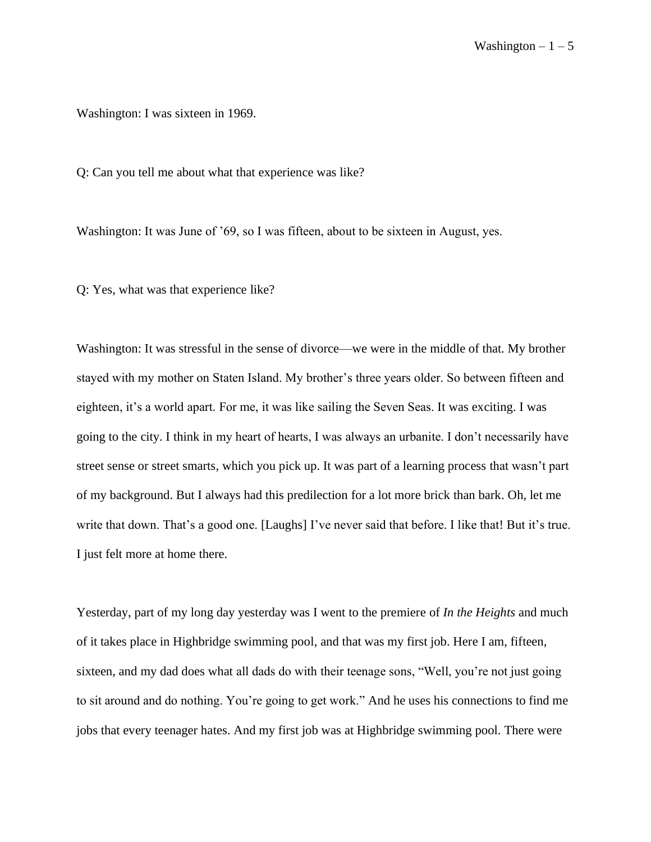Washington: I was sixteen in 1969.

Q: Can you tell me about what that experience was like?

Washington: It was June of '69, so I was fifteen, about to be sixteen in August, yes.

Q: Yes, what was that experience like?

Washington: It was stressful in the sense of divorce—we were in the middle of that. My brother stayed with my mother on Staten Island. My brother's three years older. So between fifteen and eighteen, it's a world apart. For me, it was like sailing the Seven Seas. It was exciting. I was going to the city. I think in my heart of hearts, I was always an urbanite. I don't necessarily have street sense or street smarts, which you pick up. It was part of a learning process that wasn't part of my background. But I always had this predilection for a lot more brick than bark. Oh, let me write that down. That's a good one. [Laughs] I've never said that before. I like that! But it's true. I just felt more at home there.

Yesterday, part of my long day yesterday was I went to the premiere of *In the Heights* and much of it takes place in Highbridge swimming pool, and that was my first job. Here I am, fifteen, sixteen, and my dad does what all dads do with their teenage sons, "Well, you're not just going to sit around and do nothing. You're going to get work." And he uses his connections to find me jobs that every teenager hates. And my first job was at Highbridge swimming pool. There were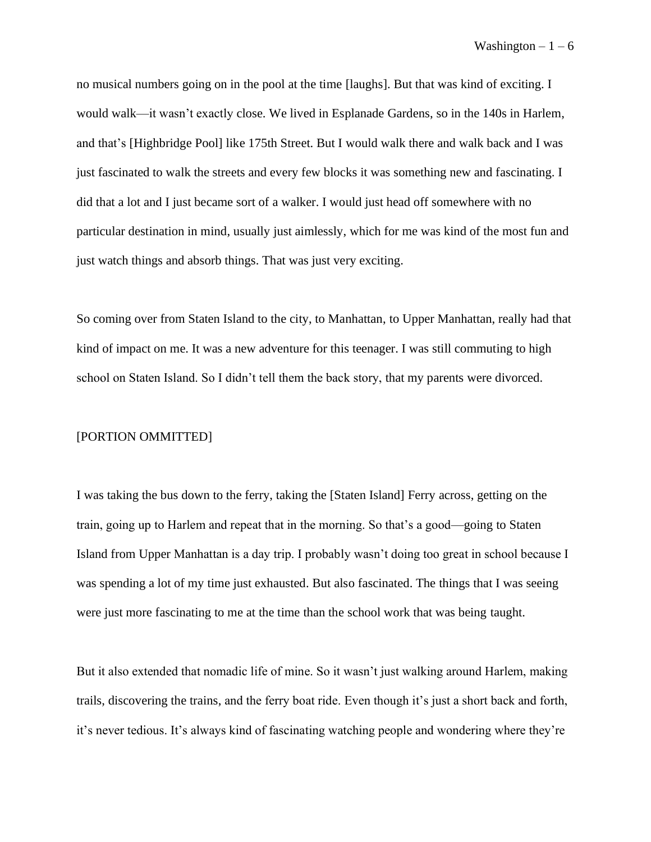no musical numbers going on in the pool at the time [laughs]. But that was kind of exciting. I would walk—it wasn't exactly close. We lived in Esplanade Gardens, so in the 140s in Harlem, and that's [Highbridge Pool] like 175th Street. But I would walk there and walk back and I was just fascinated to walk the streets and every few blocks it was something new and fascinating. I did that a lot and I just became sort of a walker. I would just head off somewhere with no particular destination in mind, usually just aimlessly, which for me was kind of the most fun and just watch things and absorb things. That was just very exciting.

So coming over from Staten Island to the city, to Manhattan, to Upper Manhattan, really had that kind of impact on me. It was a new adventure for this teenager. I was still commuting to high school on Staten Island. So I didn't tell them the back story, that my parents were divorced.

## [PORTION OMMITTED]

I was taking the bus down to the ferry, taking the [Staten Island] Ferry across, getting on the train, going up to Harlem and repeat that in the morning. So that's a good—going to Staten Island from Upper Manhattan is a day trip. I probably wasn't doing too great in school because I was spending a lot of my time just exhausted. But also fascinated. The things that I was seeing were just more fascinating to me at the time than the school work that was being taught.

But it also extended that nomadic life of mine. So it wasn't just walking around Harlem, making trails, discovering the trains, and the ferry boat ride. Even though it's just a short back and forth, it's never tedious. It's always kind of fascinating watching people and wondering where they're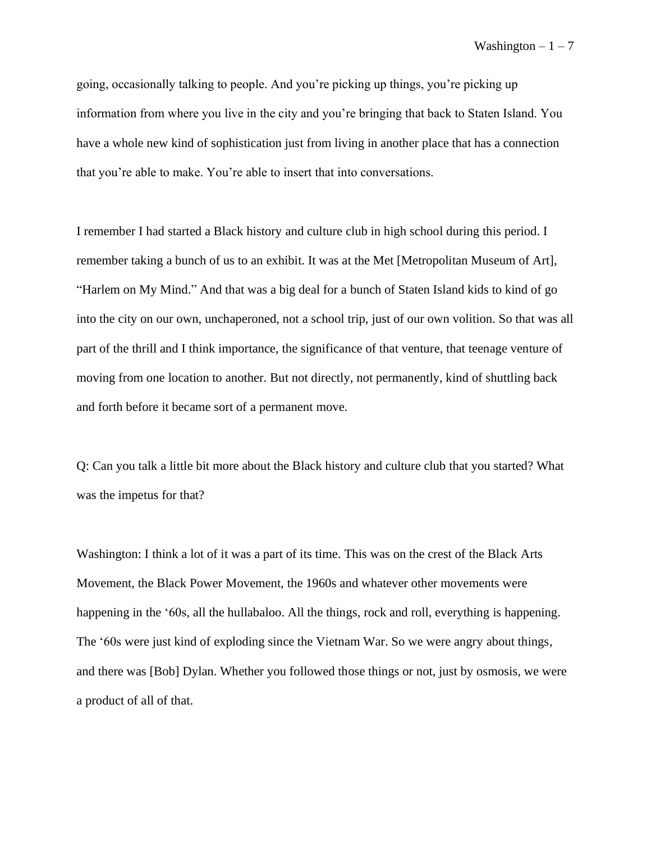going, occasionally talking to people. And you're picking up things, you're picking up information from where you live in the city and you're bringing that back to Staten Island. You have a whole new kind of sophistication just from living in another place that has a connection that you're able to make. You're able to insert that into conversations.

I remember I had started a Black history and culture club in high school during this period. I remember taking a bunch of us to an exhibit. It was at the Met [Metropolitan Museum of Art], "Harlem on My Mind." And that was a big deal for a bunch of Staten Island kids to kind of go into the city on our own, unchaperoned, not a school trip, just of our own volition. So that was all part of the thrill and I think importance, the significance of that venture, that teenage venture of moving from one location to another. But not directly, not permanently, kind of shuttling back and forth before it became sort of a permanent move.

Q: Can you talk a little bit more about the Black history and culture club that you started? What was the impetus for that?

Washington: I think a lot of it was a part of its time. This was on the crest of the Black Arts Movement, the Black Power Movement, the 1960s and whatever other movements were happening in the '60s, all the hullabaloo. All the things, rock and roll, everything is happening. The '60s were just kind of exploding since the Vietnam War. So we were angry about things, and there was [Bob] Dylan. Whether you followed those things or not, just by osmosis, we were a product of all of that.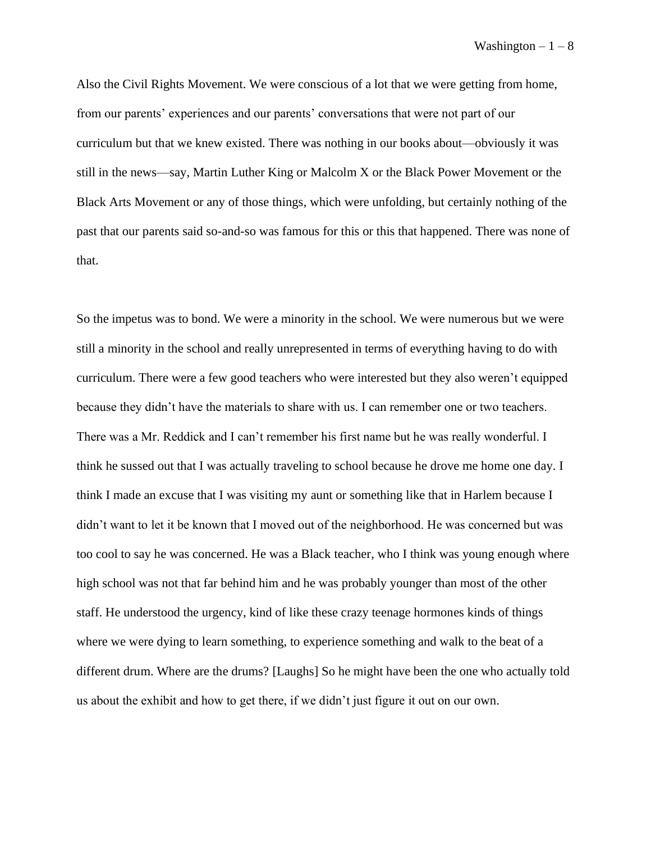Also the Civil Rights Movement. We were conscious of a lot that we were getting from home, from our parents' experiences and our parents' conversations that were not part of our curriculum but that we knew existed. There was nothing in our books about—obviously it was still in the news––say, Martin Luther King or Malcolm X or the Black Power Movement or the Black Arts Movement or any of those things, which were unfolding, but certainly nothing of the past that our parents said so-and-so was famous for this or this that happened. There was none of that.

So the impetus was to bond. We were a minority in the school. We were numerous but we were still a minority in the school and really unrepresented in terms of everything having to do with curriculum. There were a few good teachers who were interested but they also weren't equipped because they didn't have the materials to share with us. I can remember one or two teachers. There was a Mr. Reddick and I can't remember his first name but he was really wonderful. I think he sussed out that I was actually traveling to school because he drove me home one day. I think I made an excuse that I was visiting my aunt or something like that in Harlem because I didn't want to let it be known that I moved out of the neighborhood. He was concerned but was too cool to say he was concerned. He was a Black teacher, who I think was young enough where high school was not that far behind him and he was probably younger than most of the other staff. He understood the urgency, kind of like these crazy teenage hormones kinds of things where we were dying to learn something, to experience something and walk to the beat of a different drum. Where are the drums? [Laughs] So he might have been the one who actually told us about the exhibit and how to get there, if we didn't just figure it out on our own.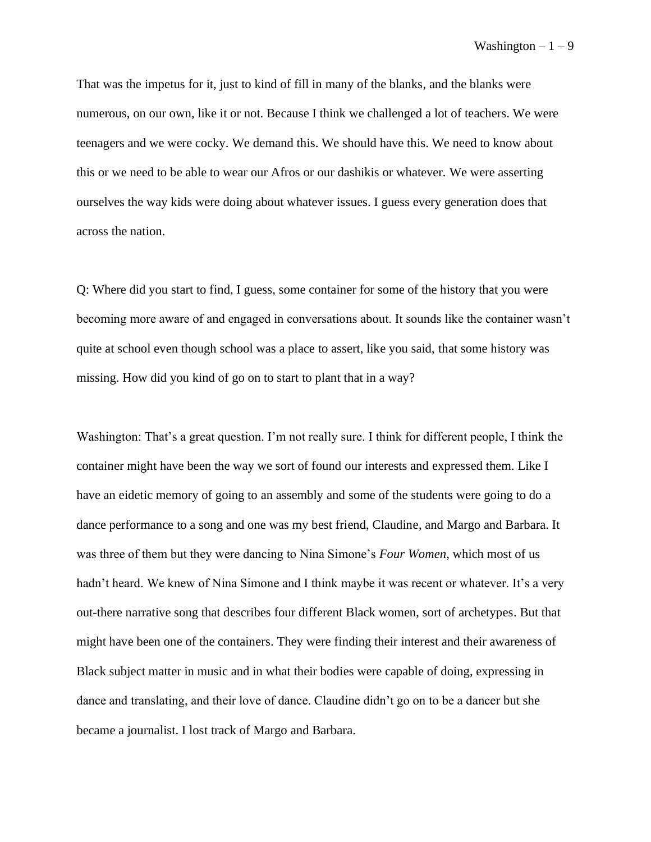That was the impetus for it, just to kind of fill in many of the blanks, and the blanks were numerous, on our own, like it or not. Because I think we challenged a lot of teachers. We were teenagers and we were cocky. We demand this. We should have this. We need to know about this or we need to be able to wear our Afros or our dashikis or whatever. We were asserting ourselves the way kids were doing about whatever issues. I guess every generation does that across the nation.

Q: Where did you start to find, I guess, some container for some of the history that you were becoming more aware of and engaged in conversations about. It sounds like the container wasn't quite at school even though school was a place to assert, like you said, that some history was missing. How did you kind of go on to start to plant that in a way?

Washington: That's a great question. I'm not really sure. I think for different people, I think the container might have been the way we sort of found our interests and expressed them. Like I have an eidetic memory of going to an assembly and some of the students were going to do a dance performance to a song and one was my best friend, Claudine, and Margo and Barbara. It was three of them but they were dancing to Nina Simone's *Four Women*, which most of us hadn't heard. We knew of Nina Simone and I think maybe it was recent or whatever. It's a very out-there narrative song that describes four different Black women, sort of archetypes. But that might have been one of the containers. They were finding their interest and their awareness of Black subject matter in music and in what their bodies were capable of doing, expressing in dance and translating, and their love of dance. Claudine didn't go on to be a dancer but she became a journalist. I lost track of Margo and Barbara.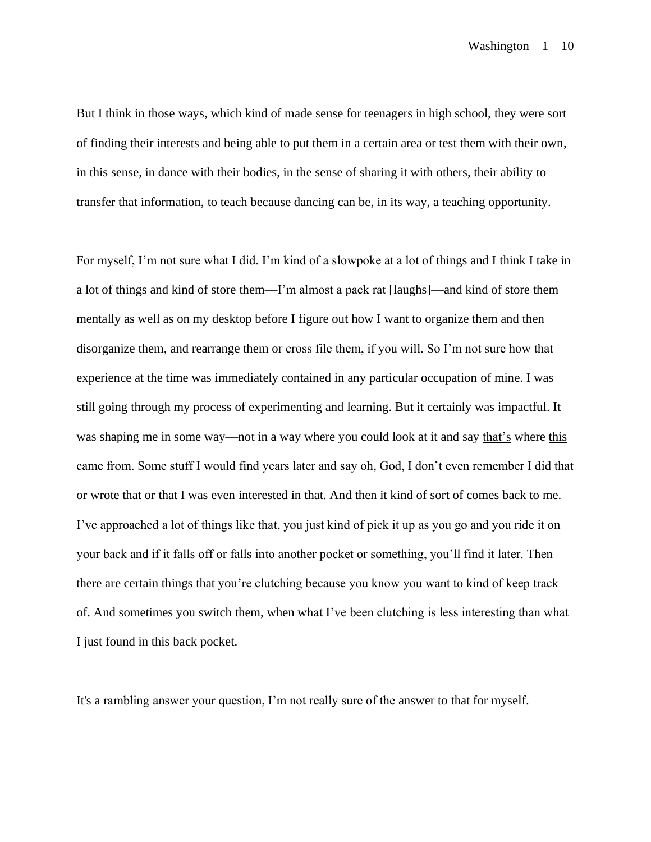But I think in those ways, which kind of made sense for teenagers in high school, they were sort of finding their interests and being able to put them in a certain area or test them with their own, in this sense, in dance with their bodies, in the sense of sharing it with others, their ability to transfer that information, to teach because dancing can be, in its way, a teaching opportunity.

For myself, I'm not sure what I did. I'm kind of a slowpoke at a lot of things and I think I take in a lot of things and kind of store them––I'm almost a pack rat [laughs]––and kind of store them mentally as well as on my desktop before I figure out how I want to organize them and then disorganize them, and rearrange them or cross file them, if you will. So I'm not sure how that experience at the time was immediately contained in any particular occupation of mine. I was still going through my process of experimenting and learning. But it certainly was impactful. It was shaping me in some way––not in a way where you could look at it and say that's where this came from. Some stuff I would find years later and say oh, God, I don't even remember I did that or wrote that or that I was even interested in that. And then it kind of sort of comes back to me. I've approached a lot of things like that, you just kind of pick it up as you go and you ride it on your back and if it falls off or falls into another pocket or something, you'll find it later. Then there are certain things that you're clutching because you know you want to kind of keep track of. And sometimes you switch them, when what I've been clutching is less interesting than what I just found in this back pocket.

It's a rambling answer your question, I'm not really sure of the answer to that for myself.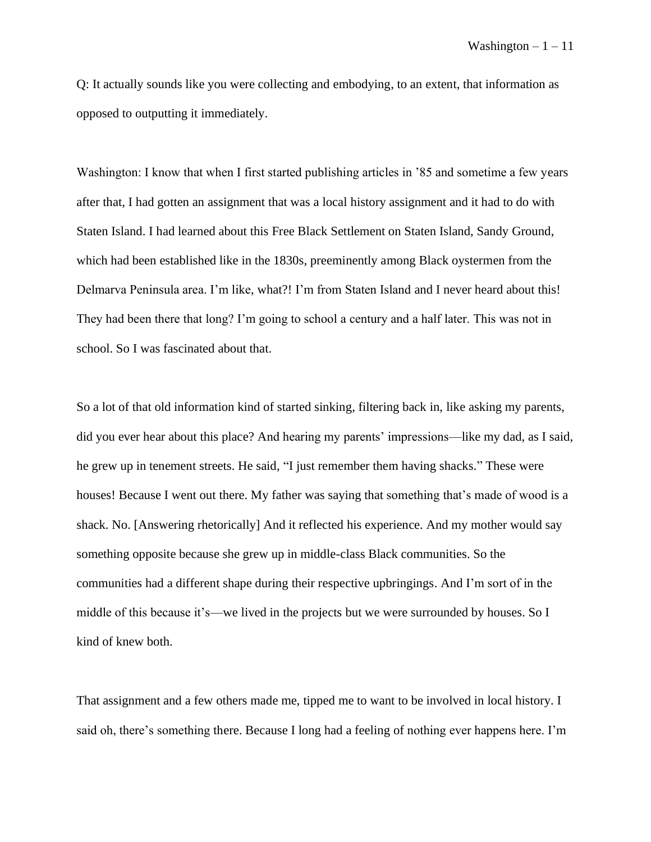Q: It actually sounds like you were collecting and embodying, to an extent, that information as opposed to outputting it immediately.

Washington: I know that when I first started publishing articles in '85 and sometime a few years after that, I had gotten an assignment that was a local history assignment and it had to do with Staten Island. I had learned about this Free Black Settlement on Staten Island, Sandy Ground, which had been established like in the 1830s, preeminently among Black oystermen from the Delmarva Peninsula area. I'm like, what?! I'm from Staten Island and I never heard about this! They had been there that long? I'm going to school a century and a half later. This was not in school. So I was fascinated about that.

So a lot of that old information kind of started sinking, filtering back in, like asking my parents, did you ever hear about this place? And hearing my parents' impressions—like my dad, as I said, he grew up in tenement streets. He said, "I just remember them having shacks." These were houses! Because I went out there. My father was saying that something that's made of wood is a shack. No. [Answering rhetorically] And it reflected his experience. And my mother would say something opposite because she grew up in middle-class Black communities. So the communities had a different shape during their respective upbringings. And I'm sort of in the middle of this because it's—we lived in the projects but we were surrounded by houses. So I kind of knew both.

That assignment and a few others made me, tipped me to want to be involved in local history. I said oh, there's something there. Because I long had a feeling of nothing ever happens here. I'm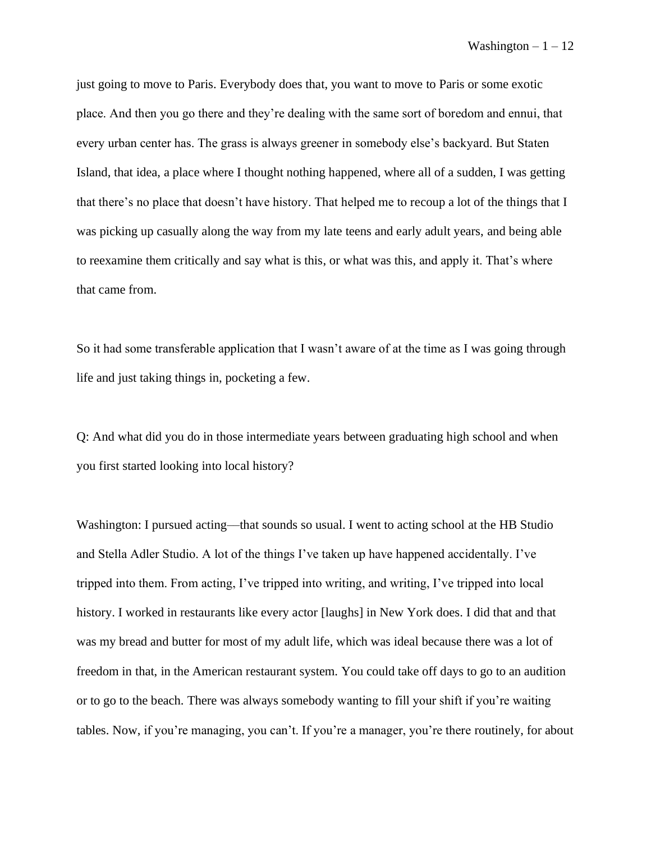just going to move to Paris. Everybody does that, you want to move to Paris or some exotic place. And then you go there and they're dealing with the same sort of boredom and ennui, that every urban center has. The grass is always greener in somebody else's backyard. But Staten Island, that idea, a place where I thought nothing happened, where all of a sudden, I was getting that there's no place that doesn't have history. That helped me to recoup a lot of the things that I was picking up casually along the way from my late teens and early adult years, and being able to reexamine them critically and say what is this, or what was this, and apply it. That's where that came from.

So it had some transferable application that I wasn't aware of at the time as I was going through life and just taking things in, pocketing a few.

Q: And what did you do in those intermediate years between graduating high school and when you first started looking into local history?

Washington: I pursued acting––that sounds so usual. I went to acting school at the HB Studio and Stella Adler Studio. A lot of the things I've taken up have happened accidentally. I've tripped into them. From acting, I've tripped into writing, and writing, I've tripped into local history. I worked in restaurants like every actor [laughs] in New York does. I did that and that was my bread and butter for most of my adult life, which was ideal because there was a lot of freedom in that, in the American restaurant system. You could take off days to go to an audition or to go to the beach. There was always somebody wanting to fill your shift if you're waiting tables. Now, if you're managing, you can't. If you're a manager, you're there routinely, for about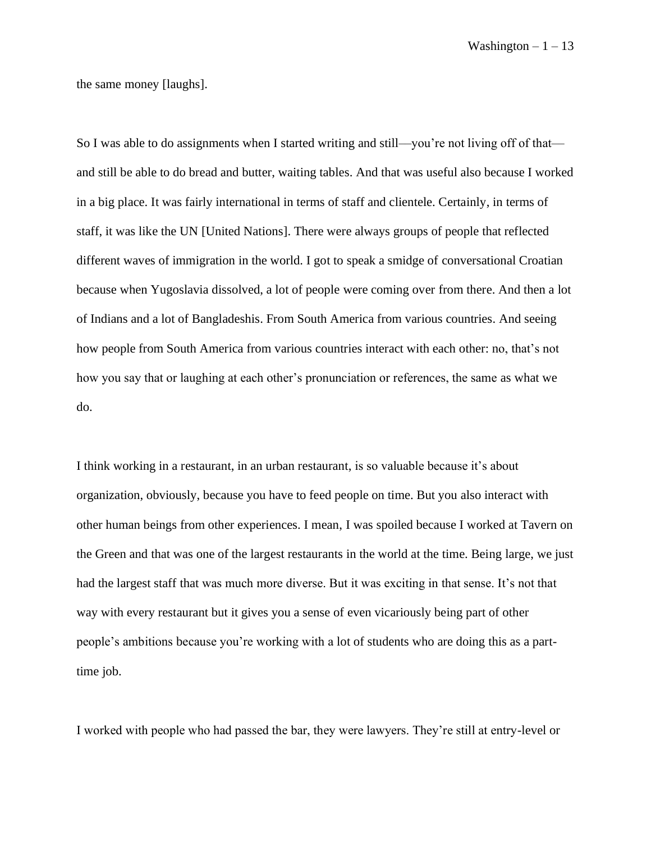the same money [laughs].

So I was able to do assignments when I started writing and still—you're not living off of that and still be able to do bread and butter, waiting tables. And that was useful also because I worked in a big place. It was fairly international in terms of staff and clientele. Certainly, in terms of staff, it was like the UN [United Nations]. There were always groups of people that reflected different waves of immigration in the world. I got to speak a smidge of conversational Croatian because when Yugoslavia dissolved, a lot of people were coming over from there. And then a lot of Indians and a lot of Bangladeshis. From South America from various countries. And seeing how people from South America from various countries interact with each other: no, that's not how you say that or laughing at each other's pronunciation or references, the same as what we do.

I think working in a restaurant, in an urban restaurant, is so valuable because it's about organization, obviously, because you have to feed people on time. But you also interact with other human beings from other experiences. I mean, I was spoiled because I worked at Tavern on the Green and that was one of the largest restaurants in the world at the time. Being large, we just had the largest staff that was much more diverse. But it was exciting in that sense. It's not that way with every restaurant but it gives you a sense of even vicariously being part of other people's ambitions because you're working with a lot of students who are doing this as a parttime job.

I worked with people who had passed the bar, they were lawyers. They're still at entry-level or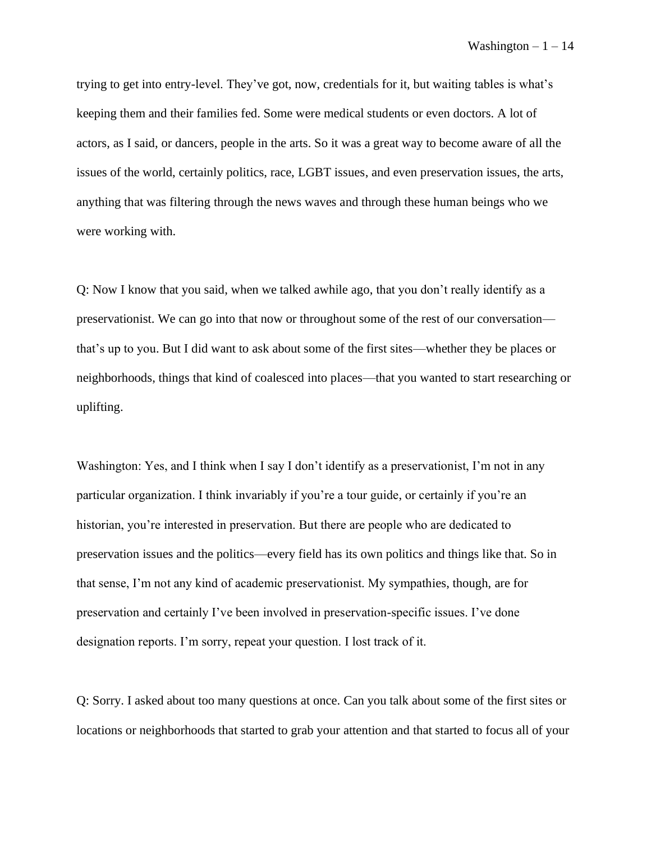trying to get into entry-level. They've got, now, credentials for it, but waiting tables is what's keeping them and their families fed. Some were medical students or even doctors. A lot of actors, as I said, or dancers, people in the arts. So it was a great way to become aware of all the issues of the world, certainly politics, race, LGBT issues, and even preservation issues, the arts, anything that was filtering through the news waves and through these human beings who we were working with.

Q: Now I know that you said, when we talked awhile ago, that you don't really identify as a preservationist. We can go into that now or throughout some of the rest of our conversation–– that's up to you. But I did want to ask about some of the first sites––whether they be places or neighborhoods, things that kind of coalesced into places––that you wanted to start researching or uplifting.

Washington: Yes, and I think when I say I don't identify as a preservationist, I'm not in any particular organization. I think invariably if you're a tour guide, or certainly if you're an historian, you're interested in preservation. But there are people who are dedicated to preservation issues and the politics––every field has its own politics and things like that. So in that sense, I'm not any kind of academic preservationist. My sympathies, though, are for preservation and certainly I've been involved in preservation-specific issues. I've done designation reports. I'm sorry, repeat your question. I lost track of it.

Q: Sorry. I asked about too many questions at once. Can you talk about some of the first sites or locations or neighborhoods that started to grab your attention and that started to focus all of your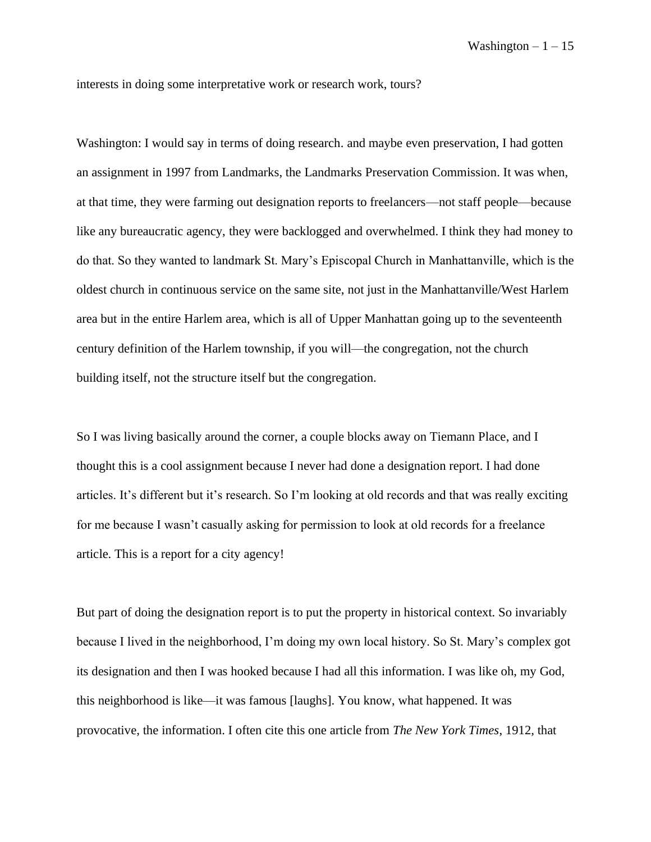interests in doing some interpretative work or research work, tours?

Washington: I would say in terms of doing research. and maybe even preservation, I had gotten an assignment in 1997 from Landmarks, the Landmarks Preservation Commission. It was when, at that time, they were farming out designation reports to freelancers––not staff people––because like any bureaucratic agency, they were backlogged and overwhelmed. I think they had money to do that. So they wanted to landmark St. Mary's Episcopal Church in Manhattanville, which is the oldest church in continuous service on the same site, not just in the Manhattanville/West Harlem area but in the entire Harlem area, which is all of Upper Manhattan going up to the seventeenth century definition of the Harlem township, if you will––the congregation, not the church building itself, not the structure itself but the congregation.

So I was living basically around the corner, a couple blocks away on Tiemann Place, and I thought this is a cool assignment because I never had done a designation report. I had done articles. It's different but it's research. So I'm looking at old records and that was really exciting for me because I wasn't casually asking for permission to look at old records for a freelance article. This is a report for a city agency!

But part of doing the designation report is to put the property in historical context. So invariably because I lived in the neighborhood, I'm doing my own local history. So St. Mary's complex got its designation and then I was hooked because I had all this information. I was like oh, my God, this neighborhood is like—it was famous [laughs]. You know, what happened. It was provocative, the information. I often cite this one article from *The New York Times*, 1912, that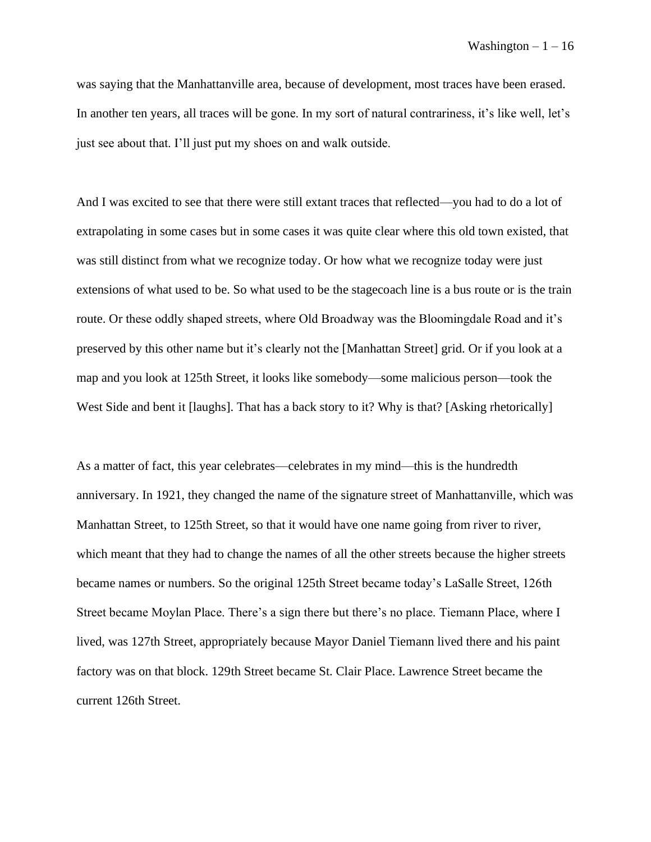was saying that the Manhattanville area, because of development, most traces have been erased. In another ten years, all traces will be gone. In my sort of natural contrariness, it's like well, let's just see about that. I'll just put my shoes on and walk outside.

And I was excited to see that there were still extant traces that reflected—you had to do a lot of extrapolating in some cases but in some cases it was quite clear where this old town existed, that was still distinct from what we recognize today. Or how what we recognize today were just extensions of what used to be. So what used to be the stagecoach line is a bus route or is the train route. Or these oddly shaped streets, where Old Broadway was the Bloomingdale Road and it's preserved by this other name but it's clearly not the [Manhattan Street] grid. Or if you look at a map and you look at 125th Street, it looks like somebody—some malicious person––took the West Side and bent it [laughs]. That has a back story to it? Why is that? [Asking rhetorically]

As a matter of fact, this year celebrates—celebrates in my mind––this is the hundredth anniversary. In 1921, they changed the name of the signature street of Manhattanville, which was Manhattan Street, to 125th Street, so that it would have one name going from river to river, which meant that they had to change the names of all the other streets because the higher streets became names or numbers. So the original 125th Street became today's LaSalle Street, 126th Street became Moylan Place. There's a sign there but there's no place. Tiemann Place, where I lived, was 127th Street, appropriately because Mayor Daniel Tiemann lived there and his paint factory was on that block. 129th Street became St. Clair Place. Lawrence Street became the current 126th Street.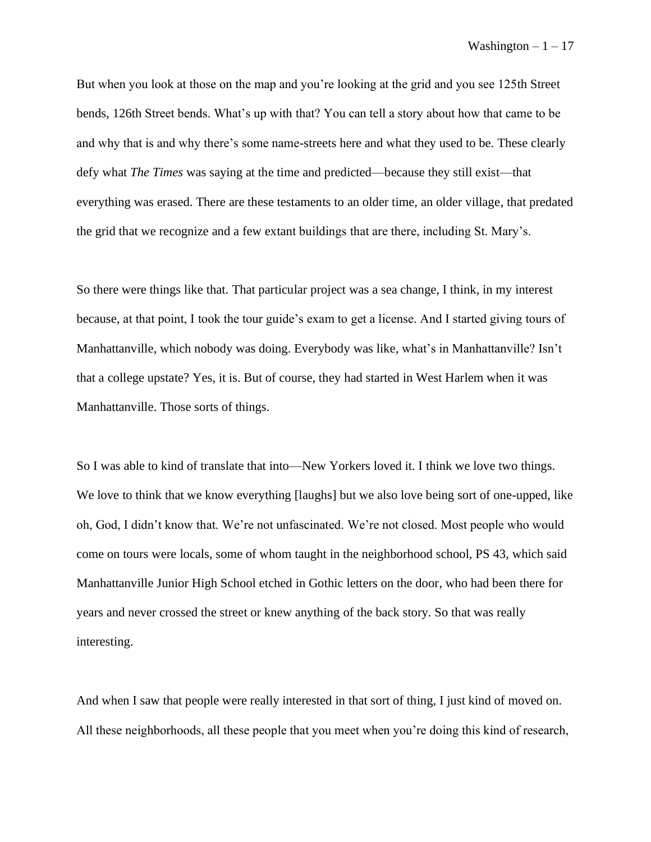But when you look at those on the map and you're looking at the grid and you see 125th Street bends, 126th Street bends. What's up with that? You can tell a story about how that came to be and why that is and why there's some name-streets here and what they used to be. These clearly defy what *The Times* was saying at the time and predicted––because they still exist––that everything was erased. There are these testaments to an older time, an older village, that predated the grid that we recognize and a few extant buildings that are there, including St. Mary's.

So there were things like that. That particular project was a sea change, I think, in my interest because, at that point, I took the tour guide's exam to get a license. And I started giving tours of Manhattanville, which nobody was doing. Everybody was like, what's in Manhattanville? Isn't that a college upstate? Yes, it is. But of course, they had started in West Harlem when it was Manhattanville. Those sorts of things.

So I was able to kind of translate that into—New Yorkers loved it. I think we love two things. We love to think that we know everything [laughs] but we also love being sort of one-upped, like oh, God, I didn't know that. We're not unfascinated. We're not closed. Most people who would come on tours were locals, some of whom taught in the neighborhood school, PS 43, which said Manhattanville Junior High School etched in Gothic letters on the door, who had been there for years and never crossed the street or knew anything of the back story. So that was really interesting.

And when I saw that people were really interested in that sort of thing, I just kind of moved on. All these neighborhoods, all these people that you meet when you're doing this kind of research,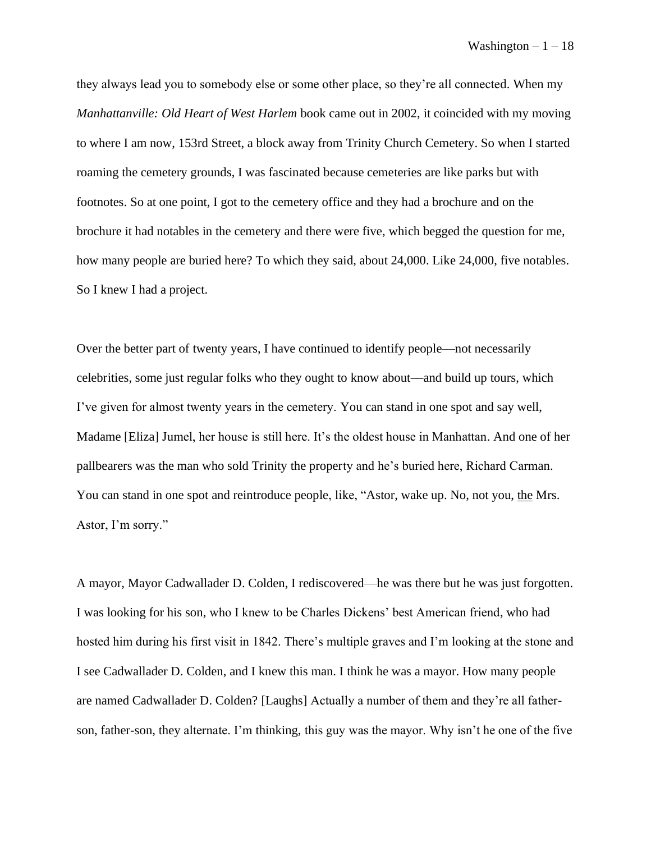they always lead you to somebody else or some other place, so they're all connected. When my *Manhattanville: Old Heart of West Harlem* book came out in 2002, it coincided with my moving to where I am now, 153rd Street, a block away from Trinity Church Cemetery. So when I started roaming the cemetery grounds, I was fascinated because cemeteries are like parks but with footnotes. So at one point, I got to the cemetery office and they had a brochure and on the brochure it had notables in the cemetery and there were five, which begged the question for me, how many people are buried here? To which they said, about 24,000. Like 24,000, five notables. So I knew I had a project.

Over the better part of twenty years, I have continued to identify people––not necessarily celebrities, some just regular folks who they ought to know about––and build up tours, which I've given for almost twenty years in the cemetery. You can stand in one spot and say well, Madame [Eliza] Jumel, her house is still here. It's the oldest house in Manhattan. And one of her pallbearers was the man who sold Trinity the property and he's buried here, Richard Carman. You can stand in one spot and reintroduce people, like, "Astor, wake up. No, not you, the Mrs. Astor, I'm sorry."

A mayor, Mayor Cadwallader D. Colden, I rediscovered––he was there but he was just forgotten. I was looking for his son, who I knew to be Charles Dickens' best American friend, who had hosted him during his first visit in 1842. There's multiple graves and I'm looking at the stone and I see Cadwallader D. Colden, and I knew this man. I think he was a mayor. How many people are named Cadwallader D. Colden? [Laughs] Actually a number of them and they're all fatherson, father-son, they alternate. I'm thinking, this guy was the mayor. Why isn't he one of the five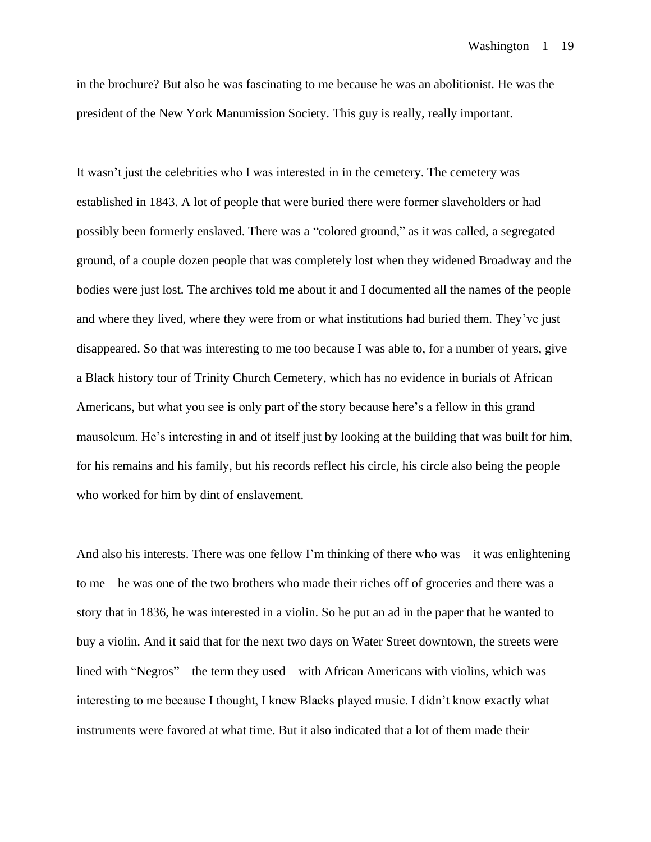in the brochure? But also he was fascinating to me because he was an abolitionist. He was the president of the New York Manumission Society. This guy is really, really important.

It wasn't just the celebrities who I was interested in in the cemetery. The cemetery was established in 1843. A lot of people that were buried there were former slaveholders or had possibly been formerly enslaved. There was a "colored ground," as it was called, a segregated ground, of a couple dozen people that was completely lost when they widened Broadway and the bodies were just lost. The archives told me about it and I documented all the names of the people and where they lived, where they were from or what institutions had buried them. They've just disappeared. So that was interesting to me too because I was able to, for a number of years, give a Black history tour of Trinity Church Cemetery, which has no evidence in burials of African Americans, but what you see is only part of the story because here's a fellow in this grand mausoleum. He's interesting in and of itself just by looking at the building that was built for him, for his remains and his family, but his records reflect his circle, his circle also being the people who worked for him by dint of enslavement.

And also his interests. There was one fellow I'm thinking of there who was—it was enlightening to me––he was one of the two brothers who made their riches off of groceries and there was a story that in 1836, he was interested in a violin. So he put an ad in the paper that he wanted to buy a violin. And it said that for the next two days on Water Street downtown, the streets were lined with "Negros"—the term they used––with African Americans with violins, which was interesting to me because I thought, I knew Blacks played music. I didn't know exactly what instruments were favored at what time. But it also indicated that a lot of them made their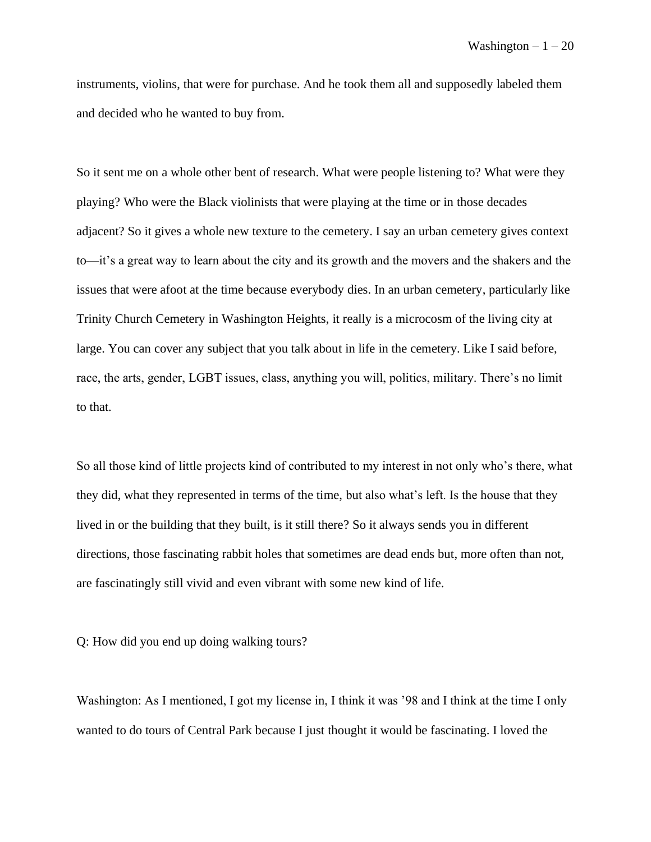instruments, violins, that were for purchase. And he took them all and supposedly labeled them and decided who he wanted to buy from.

So it sent me on a whole other bent of research. What were people listening to? What were they playing? Who were the Black violinists that were playing at the time or in those decades adjacent? So it gives a whole new texture to the cemetery. I say an urban cemetery gives context to—it's a great way to learn about the city and its growth and the movers and the shakers and the issues that were afoot at the time because everybody dies. In an urban cemetery, particularly like Trinity Church Cemetery in Washington Heights, it really is a microcosm of the living city at large. You can cover any subject that you talk about in life in the cemetery. Like I said before, race, the arts, gender, LGBT issues, class, anything you will, politics, military. There's no limit to that.

So all those kind of little projects kind of contributed to my interest in not only who's there, what they did, what they represented in terms of the time, but also what's left. Is the house that they lived in or the building that they built, is it still there? So it always sends you in different directions, those fascinating rabbit holes that sometimes are dead ends but, more often than not, are fascinatingly still vivid and even vibrant with some new kind of life.

Q: How did you end up doing walking tours?

Washington: As I mentioned, I got my license in, I think it was '98 and I think at the time I only wanted to do tours of Central Park because I just thought it would be fascinating. I loved the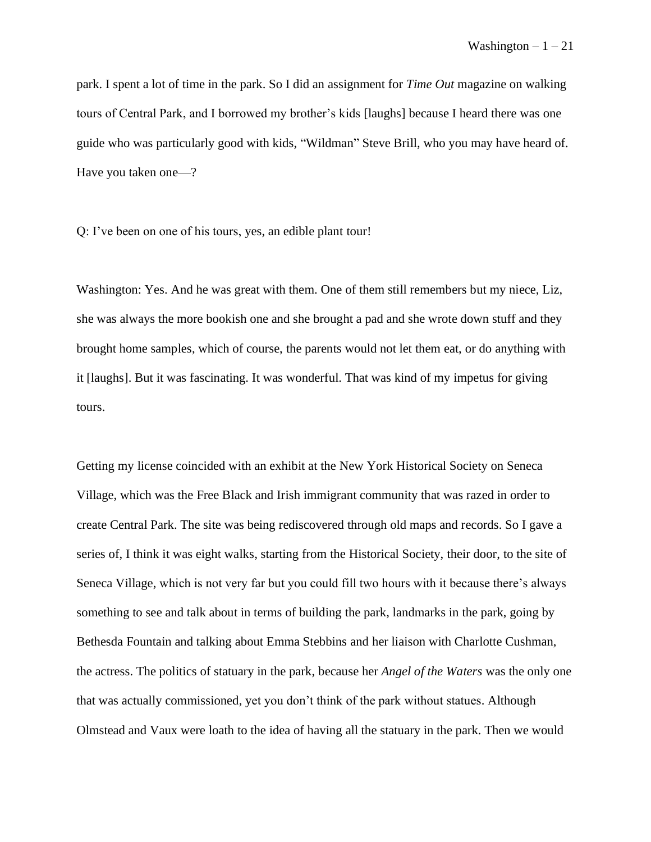park. I spent a lot of time in the park. So I did an assignment for *Time Out* magazine on walking tours of Central Park, and I borrowed my brother's kids [laughs] because I heard there was one guide who was particularly good with kids, "Wildman" Steve Brill, who you may have heard of. Have you taken one—?

Q: I've been on one of his tours, yes, an edible plant tour!

Washington: Yes. And he was great with them. One of them still remembers but my niece, Liz, she was always the more bookish one and she brought a pad and she wrote down stuff and they brought home samples, which of course, the parents would not let them eat, or do anything with it [laughs]. But it was fascinating. It was wonderful. That was kind of my impetus for giving tours.

Getting my license coincided with an exhibit at the New York Historical Society on Seneca Village, which was the Free Black and Irish immigrant community that was razed in order to create Central Park. The site was being rediscovered through old maps and records. So I gave a series of, I think it was eight walks, starting from the Historical Society, their door, to the site of Seneca Village, which is not very far but you could fill two hours with it because there's always something to see and talk about in terms of building the park, landmarks in the park, going by Bethesda Fountain and talking about Emma Stebbins and her liaison with Charlotte Cushman, the actress. The politics of statuary in the park, because her *Angel of the Waters* was the only one that was actually commissioned, yet you don't think of the park without statues. Although Olmstead and Vaux were loath to the idea of having all the statuary in the park. Then we would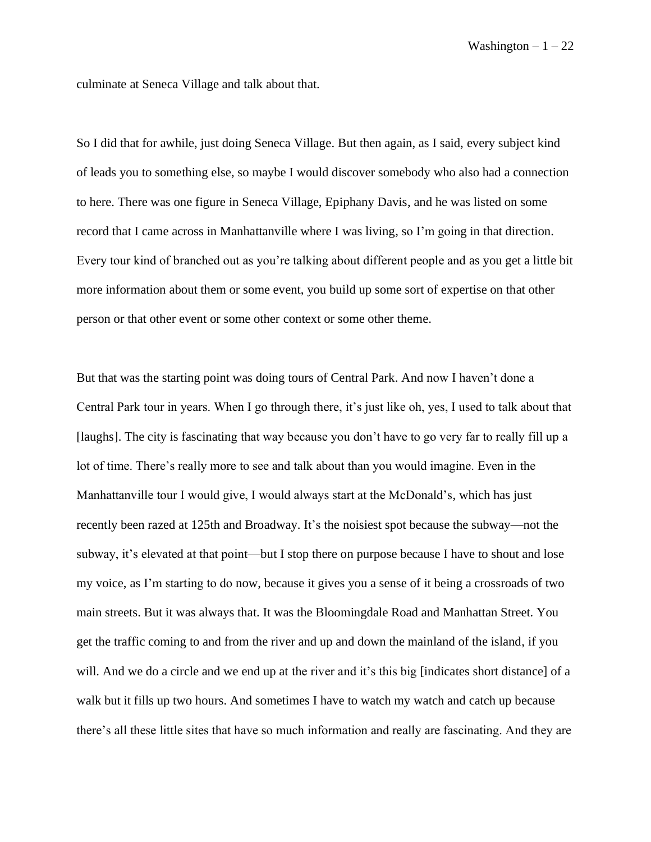culminate at Seneca Village and talk about that.

So I did that for awhile, just doing Seneca Village. But then again, as I said, every subject kind of leads you to something else, so maybe I would discover somebody who also had a connection to here. There was one figure in Seneca Village, Epiphany Davis, and he was listed on some record that I came across in Manhattanville where I was living, so I'm going in that direction. Every tour kind of branched out as you're talking about different people and as you get a little bit more information about them or some event, you build up some sort of expertise on that other person or that other event or some other context or some other theme.

But that was the starting point was doing tours of Central Park. And now I haven't done a Central Park tour in years. When I go through there, it's just like oh, yes, I used to talk about that [laughs]. The city is fascinating that way because you don't have to go very far to really fill up a lot of time. There's really more to see and talk about than you would imagine. Even in the Manhattanville tour I would give, I would always start at the McDonald's, which has just recently been razed at 125th and Broadway. It's the noisiest spot because the subway—not the subway, it's elevated at that point––but I stop there on purpose because I have to shout and lose my voice, as I'm starting to do now, because it gives you a sense of it being a crossroads of two main streets. But it was always that. It was the Bloomingdale Road and Manhattan Street. You get the traffic coming to and from the river and up and down the mainland of the island, if you will. And we do a circle and we end up at the river and it's this big [indicates short distance] of a walk but it fills up two hours. And sometimes I have to watch my watch and catch up because there's all these little sites that have so much information and really are fascinating. And they are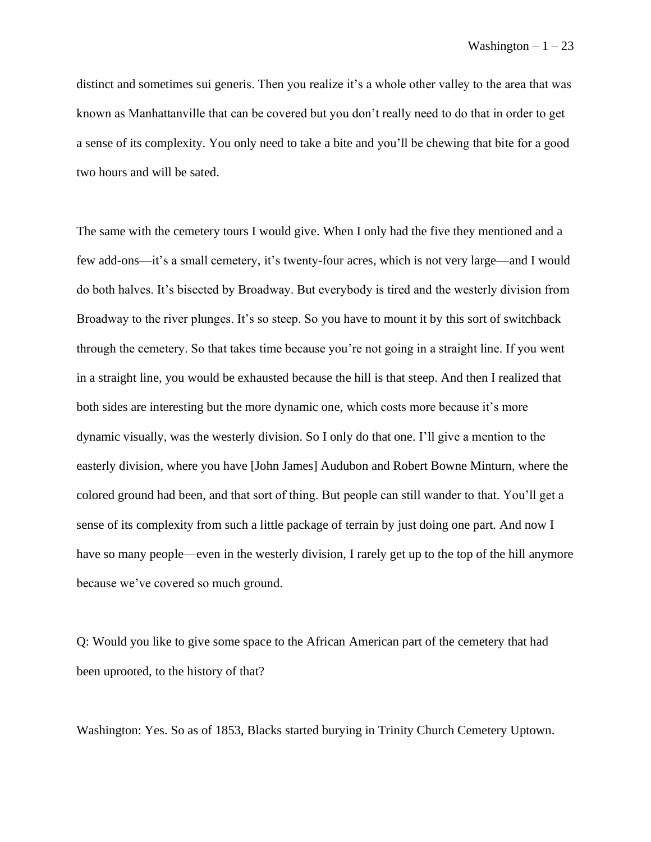distinct and sometimes sui generis. Then you realize it's a whole other valley to the area that was known as Manhattanville that can be covered but you don't really need to do that in order to get a sense of its complexity. You only need to take a bite and you'll be chewing that bite for a good two hours and will be sated.

The same with the cemetery tours I would give. When I only had the five they mentioned and a few add-ons––it's a small cemetery, it's twenty-four acres, which is not very large––and I would do both halves. It's bisected by Broadway. But everybody is tired and the westerly division from Broadway to the river plunges. It's so steep. So you have to mount it by this sort of switchback through the cemetery. So that takes time because you're not going in a straight line. If you went in a straight line, you would be exhausted because the hill is that steep. And then I realized that both sides are interesting but the more dynamic one, which costs more because it's more dynamic visually, was the westerly division. So I only do that one. I'll give a mention to the easterly division, where you have [John James] Audubon and Robert Bowne Minturn, where the colored ground had been, and that sort of thing. But people can still wander to that. You'll get a sense of its complexity from such a little package of terrain by just doing one part. And now I have so many people—even in the westerly division, I rarely get up to the top of the hill anymore because we've covered so much ground.

Q: Would you like to give some space to the African American part of the cemetery that had been uprooted, to the history of that?

Washington: Yes. So as of 1853, Blacks started burying in Trinity Church Cemetery Uptown.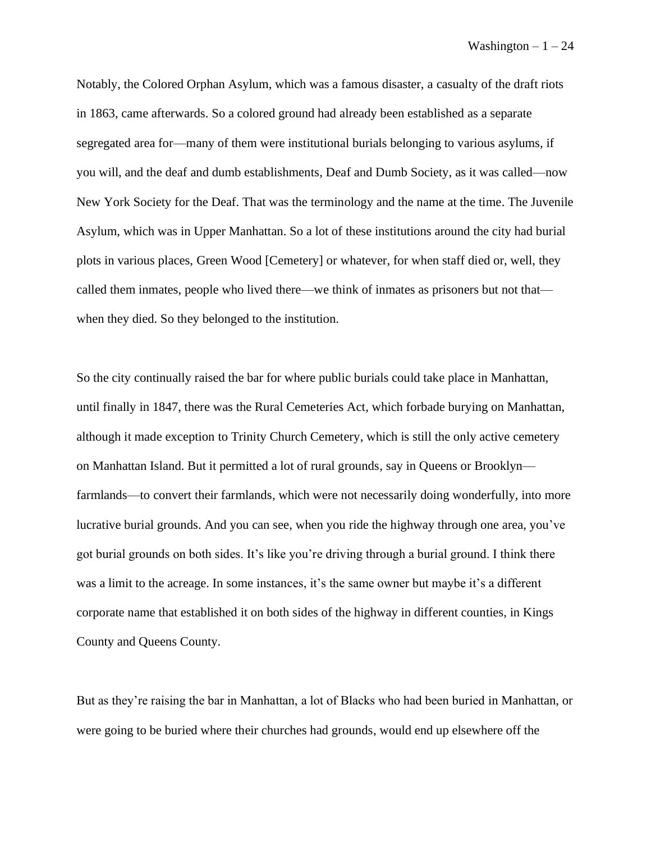Notably, the Colored Orphan Asylum, which was a famous disaster, a casualty of the draft riots in 1863, came afterwards. So a colored ground had already been established as a separate segregated area for—many of them were institutional burials belonging to various asylums, if you will, and the deaf and dumb establishments, Deaf and Dumb Society, as it was called––now New York Society for the Deaf. That was the terminology and the name at the time. The Juvenile Asylum, which was in Upper Manhattan. So a lot of these institutions around the city had burial plots in various places, Green Wood [Cemetery] or whatever, for when staff died or, well, they called them inmates, people who lived there––we think of inmates as prisoners but not that–– when they died. So they belonged to the institution.

So the city continually raised the bar for where public burials could take place in Manhattan, until finally in 1847, there was the Rural Cemeteries Act, which forbade burying on Manhattan, although it made exception to Trinity Church Cemetery, which is still the only active cemetery on Manhattan Island. But it permitted a lot of rural grounds, say in Queens or Brooklyn–– farmlands––to convert their farmlands, which were not necessarily doing wonderfully, into more lucrative burial grounds. And you can see, when you ride the highway through one area, you've got burial grounds on both sides. It's like you're driving through a burial ground. I think there was a limit to the acreage. In some instances, it's the same owner but maybe it's a different corporate name that established it on both sides of the highway in different counties, in Kings County and Queens County.

But as they're raising the bar in Manhattan, a lot of Blacks who had been buried in Manhattan, or were going to be buried where their churches had grounds, would end up elsewhere off the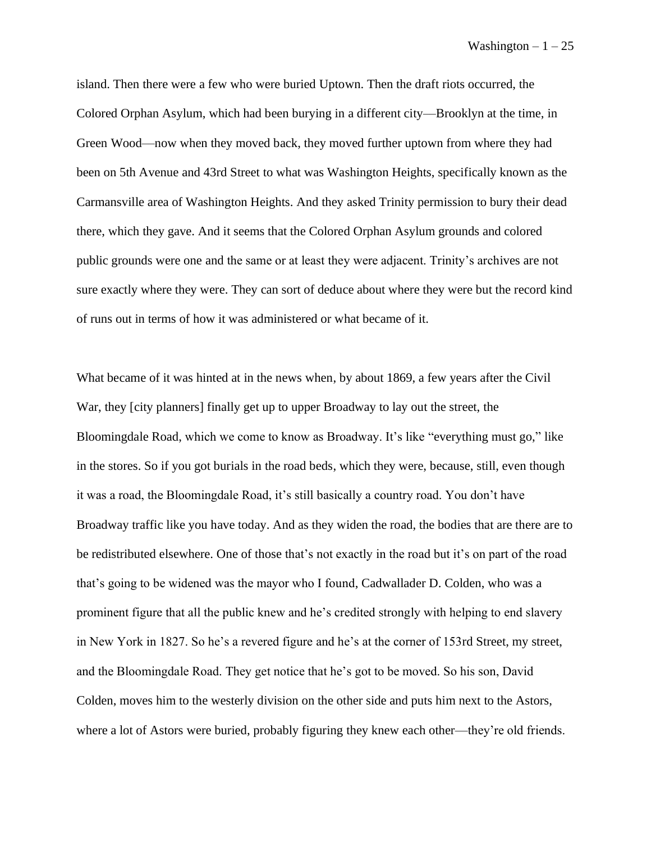island. Then there were a few who were buried Uptown. Then the draft riots occurred, the Colored Orphan Asylum, which had been burying in a different city––Brooklyn at the time, in Green Wood––now when they moved back, they moved further uptown from where they had been on 5th Avenue and 43rd Street to what was Washington Heights, specifically known as the Carmansville area of Washington Heights. And they asked Trinity permission to bury their dead there, which they gave. And it seems that the Colored Orphan Asylum grounds and colored public grounds were one and the same or at least they were adjacent. Trinity's archives are not sure exactly where they were. They can sort of deduce about where they were but the record kind of runs out in terms of how it was administered or what became of it.

What became of it was hinted at in the news when, by about 1869, a few years after the Civil War, they [city planners] finally get up to upper Broadway to lay out the street, the Bloomingdale Road, which we come to know as Broadway. It's like "everything must go," like in the stores. So if you got burials in the road beds, which they were, because, still, even though it was a road, the Bloomingdale Road, it's still basically a country road. You don't have Broadway traffic like you have today. And as they widen the road, the bodies that are there are to be redistributed elsewhere. One of those that's not exactly in the road but it's on part of the road that's going to be widened was the mayor who I found, Cadwallader D. Colden, who was a prominent figure that all the public knew and he's credited strongly with helping to end slavery in New York in 1827. So he's a revered figure and he's at the corner of 153rd Street, my street, and the Bloomingdale Road. They get notice that he's got to be moved. So his son, David Colden, moves him to the westerly division on the other side and puts him next to the Astors, where a lot of Astors were buried, probably figuring they knew each other—they're old friends.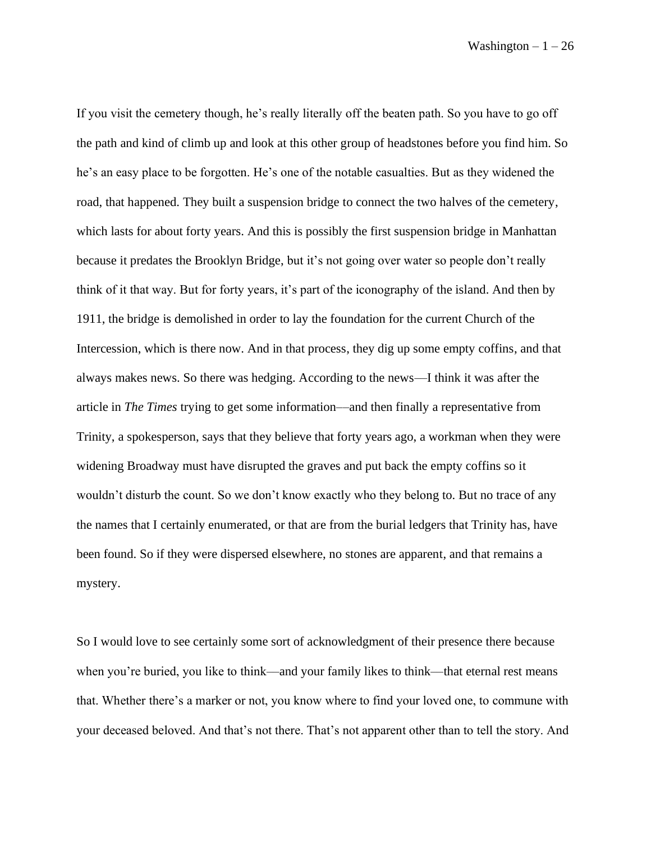If you visit the cemetery though, he's really literally off the beaten path. So you have to go off the path and kind of climb up and look at this other group of headstones before you find him. So he's an easy place to be forgotten. He's one of the notable casualties. But as they widened the road, that happened. They built a suspension bridge to connect the two halves of the cemetery, which lasts for about forty years. And this is possibly the first suspension bridge in Manhattan because it predates the Brooklyn Bridge, but it's not going over water so people don't really think of it that way. But for forty years, it's part of the iconography of the island. And then by 1911, the bridge is demolished in order to lay the foundation for the current Church of the Intercession, which is there now. And in that process, they dig up some empty coffins, and that always makes news. So there was hedging. According to the news––I think it was after the article in *The Times* trying to get some information––and then finally a representative from Trinity, a spokesperson, says that they believe that forty years ago, a workman when they were widening Broadway must have disrupted the graves and put back the empty coffins so it wouldn't disturb the count. So we don't know exactly who they belong to. But no trace of any the names that I certainly enumerated, or that are from the burial ledgers that Trinity has, have been found. So if they were dispersed elsewhere, no stones are apparent, and that remains a mystery.

So I would love to see certainly some sort of acknowledgment of their presence there because when you're buried, you like to think—and your family likes to think—that eternal rest means that. Whether there's a marker or not, you know where to find your loved one, to commune with your deceased beloved. And that's not there. That's not apparent other than to tell the story. And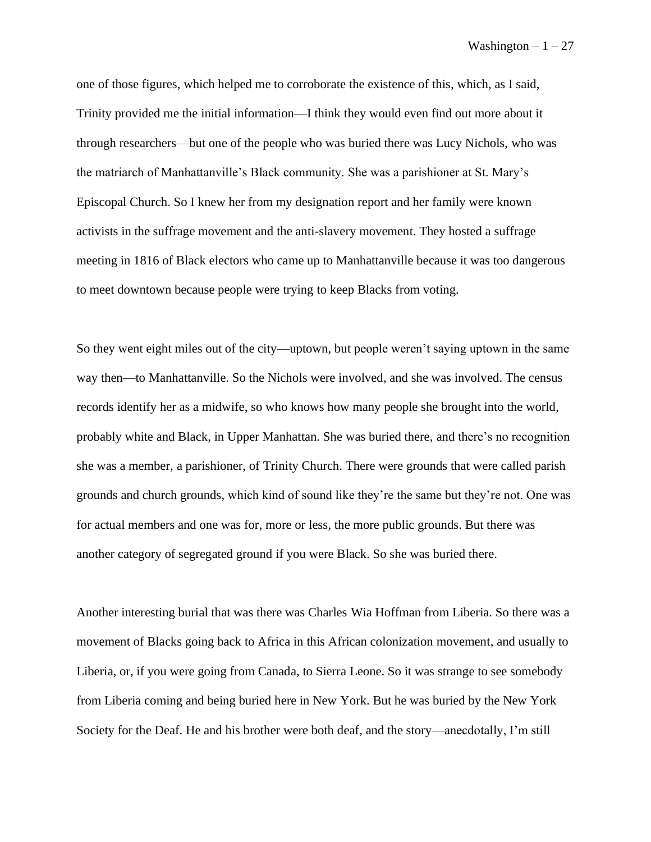one of those figures, which helped me to corroborate the existence of this, which, as I said, Trinity provided me the initial information––I think they would even find out more about it through researchers––but one of the people who was buried there was Lucy Nichols, who was the matriarch of Manhattanville's Black community. She was a parishioner at St. Mary's Episcopal Church. So I knew her from my designation report and her family were known activists in the suffrage movement and the anti-slavery movement. They hosted a suffrage meeting in 1816 of Black electors who came up to Manhattanville because it was too dangerous to meet downtown because people were trying to keep Blacks from voting.

So they went eight miles out of the city––uptown, but people weren't saying uptown in the same way then––to Manhattanville. So the Nichols were involved, and she was involved. The census records identify her as a midwife, so who knows how many people she brought into the world, probably white and Black, in Upper Manhattan. She was buried there, and there's no recognition she was a member, a parishioner, of Trinity Church. There were grounds that were called parish grounds and church grounds, which kind of sound like they're the same but they're not. One was for actual members and one was for, more or less, the more public grounds. But there was another category of segregated ground if you were Black. So she was buried there.

Another interesting burial that was there was Charles Wia Hoffman from Liberia. So there was a movement of Blacks going back to Africa in this African colonization movement, and usually to Liberia, or, if you were going from Canada, to Sierra Leone. So it was strange to see somebody from Liberia coming and being buried here in New York. But he was buried by the New York Society for the Deaf. He and his brother were both deaf, and the story––anecdotally, I'm still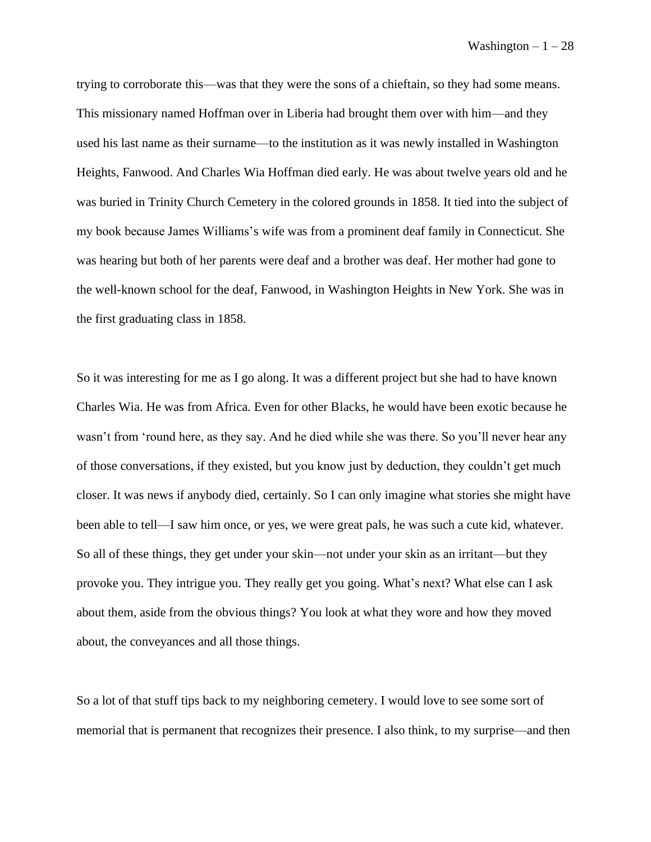trying to corroborate this––was that they were the sons of a chieftain, so they had some means. This missionary named Hoffman over in Liberia had brought them over with him––and they used his last name as their surname––to the institution as it was newly installed in Washington Heights, Fanwood. And Charles Wia Hoffman died early. He was about twelve years old and he was buried in Trinity Church Cemetery in the colored grounds in 1858. It tied into the subject of my book because James Williams's wife was from a prominent deaf family in Connecticut. She was hearing but both of her parents were deaf and a brother was deaf. Her mother had gone to the well-known school for the deaf, Fanwood, in Washington Heights in New York. She was in the first graduating class in 1858.

So it was interesting for me as I go along. It was a different project but she had to have known Charles Wia. He was from Africa. Even for other Blacks, he would have been exotic because he wasn't from 'round here, as they say. And he died while she was there. So you'll never hear any of those conversations, if they existed, but you know just by deduction, they couldn't get much closer. It was news if anybody died, certainly. So I can only imagine what stories she might have been able to tell––I saw him once, or yes, we were great pals, he was such a cute kid, whatever. So all of these things, they get under your skin––not under your skin as an irritant––but they provoke you. They intrigue you. They really get you going. What's next? What else can I ask about them, aside from the obvious things? You look at what they wore and how they moved about, the conveyances and all those things.

So a lot of that stuff tips back to my neighboring cemetery. I would love to see some sort of memorial that is permanent that recognizes their presence. I also think, to my surprise––and then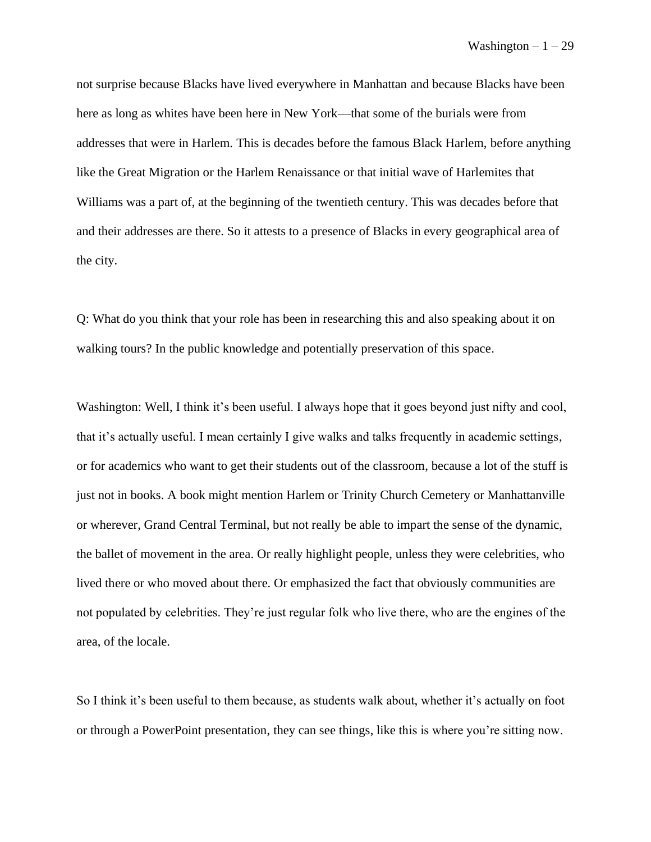not surprise because Blacks have lived everywhere in Manhattan and because Blacks have been here as long as whites have been here in New York––that some of the burials were from addresses that were in Harlem. This is decades before the famous Black Harlem, before anything like the Great Migration or the Harlem Renaissance or that initial wave of Harlemites that Williams was a part of, at the beginning of the twentieth century. This was decades before that and their addresses are there. So it attests to a presence of Blacks in every geographical area of the city.

Q: What do you think that your role has been in researching this and also speaking about it on walking tours? In the public knowledge and potentially preservation of this space.

Washington: Well, I think it's been useful. I always hope that it goes beyond just nifty and cool, that it's actually useful. I mean certainly I give walks and talks frequently in academic settings, or for academics who want to get their students out of the classroom, because a lot of the stuff is just not in books. A book might mention Harlem or Trinity Church Cemetery or Manhattanville or wherever, Grand Central Terminal, but not really be able to impart the sense of the dynamic, the ballet of movement in the area. Or really highlight people, unless they were celebrities, who lived there or who moved about there. Or emphasized the fact that obviously communities are not populated by celebrities. They're just regular folk who live there, who are the engines of the area, of the locale.

So I think it's been useful to them because, as students walk about, whether it's actually on foot or through a PowerPoint presentation, they can see things, like this is where you're sitting now.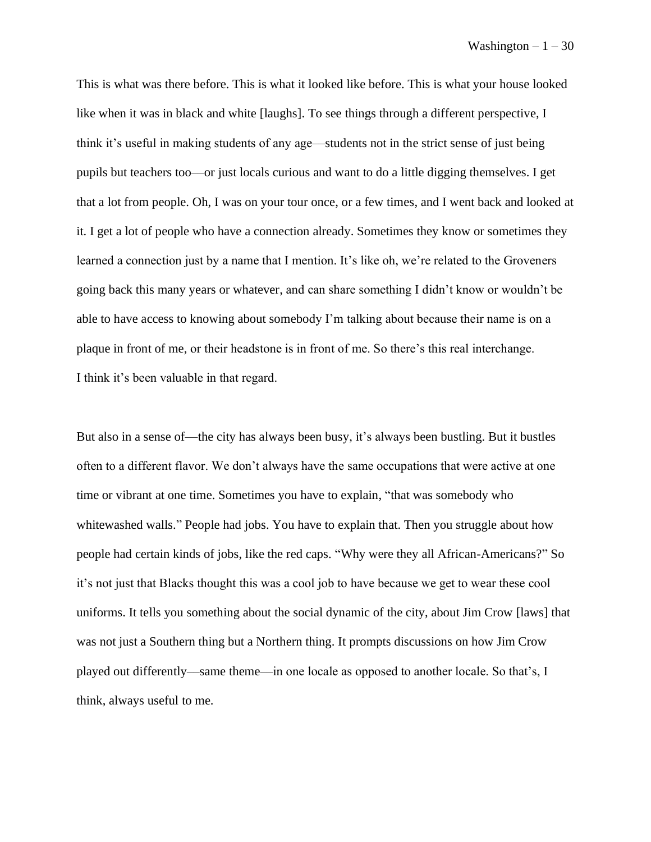This is what was there before. This is what it looked like before. This is what your house looked like when it was in black and white [laughs]. To see things through a different perspective, I think it's useful in making students of any age––students not in the strict sense of just being pupils but teachers too––or just locals curious and want to do a little digging themselves. I get that a lot from people. Oh, I was on your tour once, or a few times, and I went back and looked at it. I get a lot of people who have a connection already. Sometimes they know or sometimes they learned a connection just by a name that I mention. It's like oh, we're related to the Groveners going back this many years or whatever, and can share something I didn't know or wouldn't be able to have access to knowing about somebody I'm talking about because their name is on a plaque in front of me, or their headstone is in front of me. So there's this real interchange. I think it's been valuable in that regard.

But also in a sense of—the city has always been busy, it's always been bustling. But it bustles often to a different flavor. We don't always have the same occupations that were active at one time or vibrant at one time. Sometimes you have to explain, "that was somebody who whitewashed walls." People had jobs. You have to explain that. Then you struggle about how people had certain kinds of jobs, like the red caps. "Why were they all African-Americans?" So it's not just that Blacks thought this was a cool job to have because we get to wear these cool uniforms. It tells you something about the social dynamic of the city, about Jim Crow [laws] that was not just a Southern thing but a Northern thing. It prompts discussions on how Jim Crow played out differently––same theme––in one locale as opposed to another locale. So that's, I think, always useful to me.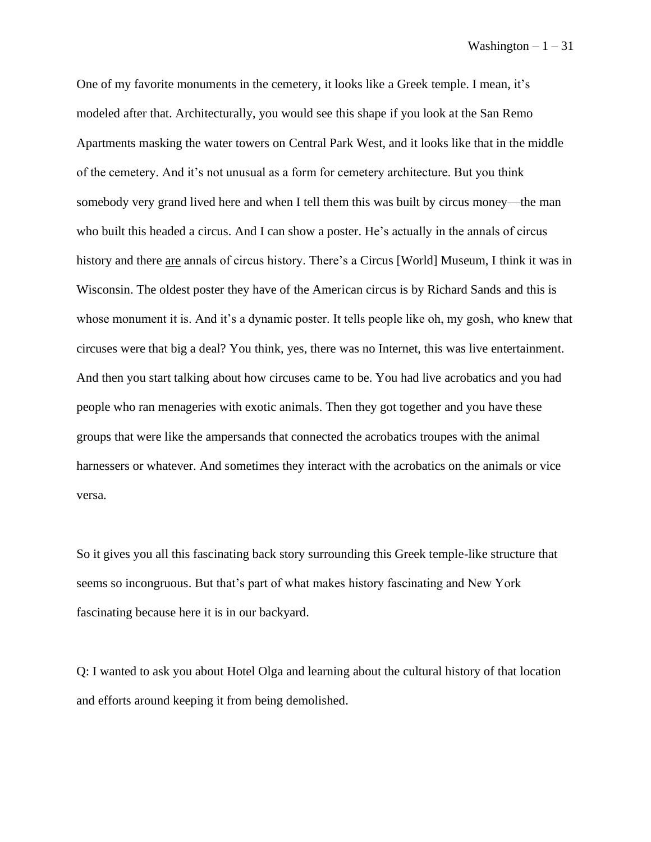One of my favorite monuments in the cemetery, it looks like a Greek temple. I mean, it's modeled after that. Architecturally, you would see this shape if you look at the San Remo Apartments masking the water towers on Central Park West, and it looks like that in the middle of the cemetery. And it's not unusual as a form for cemetery architecture. But you think somebody very grand lived here and when I tell them this was built by circus money––the man who built this headed a circus. And I can show a poster. He's actually in the annals of circus history and there are annals of circus history. There's a Circus [World] Museum, I think it was in Wisconsin. The oldest poster they have of the American circus is by Richard Sands and this is whose monument it is. And it's a dynamic poster. It tells people like oh, my gosh, who knew that circuses were that big a deal? You think, yes, there was no Internet, this was live entertainment. And then you start talking about how circuses came to be. You had live acrobatics and you had people who ran menageries with exotic animals. Then they got together and you have these groups that were like the ampersands that connected the acrobatics troupes with the animal harnessers or whatever. And sometimes they interact with the acrobatics on the animals or vice versa.

So it gives you all this fascinating back story surrounding this Greek temple-like structure that seems so incongruous. But that's part of what makes history fascinating and New York fascinating because here it is in our backyard.

Q: I wanted to ask you about Hotel Olga and learning about the cultural history of that location and efforts around keeping it from being demolished.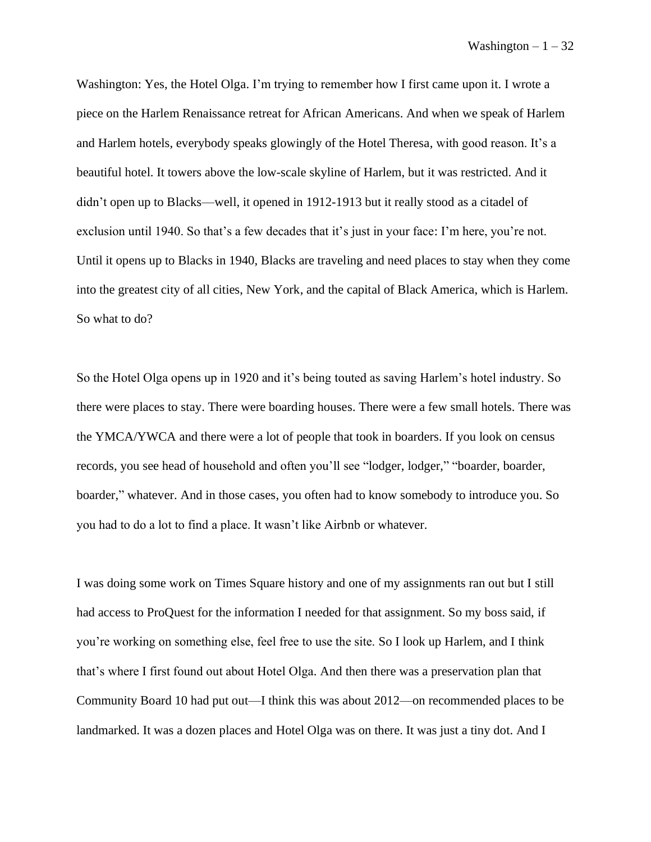Washington: Yes, the Hotel Olga. I'm trying to remember how I first came upon it. I wrote a piece on the Harlem Renaissance retreat for African Americans. And when we speak of Harlem and Harlem hotels, everybody speaks glowingly of the Hotel Theresa, with good reason. It's a beautiful hotel. It towers above the low-scale skyline of Harlem, but it was restricted. And it didn't open up to Blacks––well, it opened in 1912-1913 but it really stood as a citadel of exclusion until 1940. So that's a few decades that it's just in your face: I'm here, you're not. Until it opens up to Blacks in 1940, Blacks are traveling and need places to stay when they come into the greatest city of all cities, New York, and the capital of Black America, which is Harlem. So what to do?

So the Hotel Olga opens up in 1920 and it's being touted as saving Harlem's hotel industry. So there were places to stay. There were boarding houses. There were a few small hotels. There was the YMCA/YWCA and there were a lot of people that took in boarders. If you look on census records, you see head of household and often you'll see "lodger, lodger," "boarder, boarder, boarder," whatever. And in those cases, you often had to know somebody to introduce you. So you had to do a lot to find a place. It wasn't like Airbnb or whatever.

I was doing some work on Times Square history and one of my assignments ran out but I still had access to ProQuest for the information I needed for that assignment. So my boss said, if you're working on something else, feel free to use the site. So I look up Harlem, and I think that's where I first found out about Hotel Olga. And then there was a preservation plan that Community Board 10 had put out––I think this was about 2012––on recommended places to be landmarked. It was a dozen places and Hotel Olga was on there. It was just a tiny dot. And I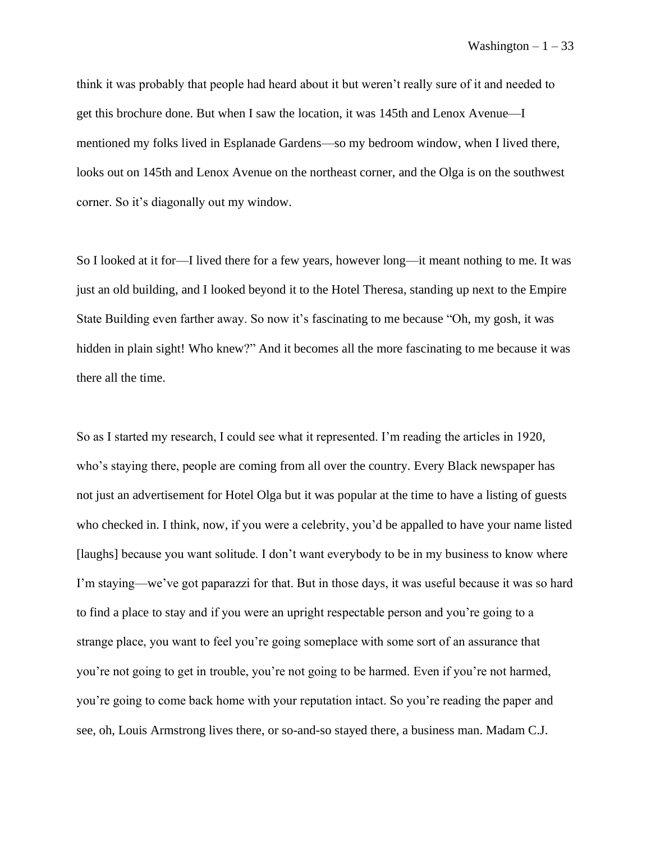think it was probably that people had heard about it but weren't really sure of it and needed to get this brochure done. But when I saw the location, it was 145th and Lenox Avenue––I mentioned my folks lived in Esplanade Gardens––so my bedroom window, when I lived there, looks out on 145th and Lenox Avenue on the northeast corner, and the Olga is on the southwest corner. So it's diagonally out my window.

So I looked at it for—I lived there for a few years, however long––it meant nothing to me. It was just an old building, and I looked beyond it to the Hotel Theresa, standing up next to the Empire State Building even farther away. So now it's fascinating to me because "Oh, my gosh, it was hidden in plain sight! Who knew?" And it becomes all the more fascinating to me because it was there all the time.

So as I started my research, I could see what it represented. I'm reading the articles in 1920, who's staying there, people are coming from all over the country. Every Black newspaper has not just an advertisement for Hotel Olga but it was popular at the time to have a listing of guests who checked in. I think, now, if you were a celebrity, you'd be appalled to have your name listed [laughs] because you want solitude. I don't want everybody to be in my business to know where I'm staying––we've got paparazzi for that. But in those days, it was useful because it was so hard to find a place to stay and if you were an upright respectable person and you're going to a strange place, you want to feel you're going someplace with some sort of an assurance that you're not going to get in trouble, you're not going to be harmed. Even if you're not harmed, you're going to come back home with your reputation intact. So you're reading the paper and see, oh, Louis Armstrong lives there, or so-and-so stayed there, a business man. Madam C.J.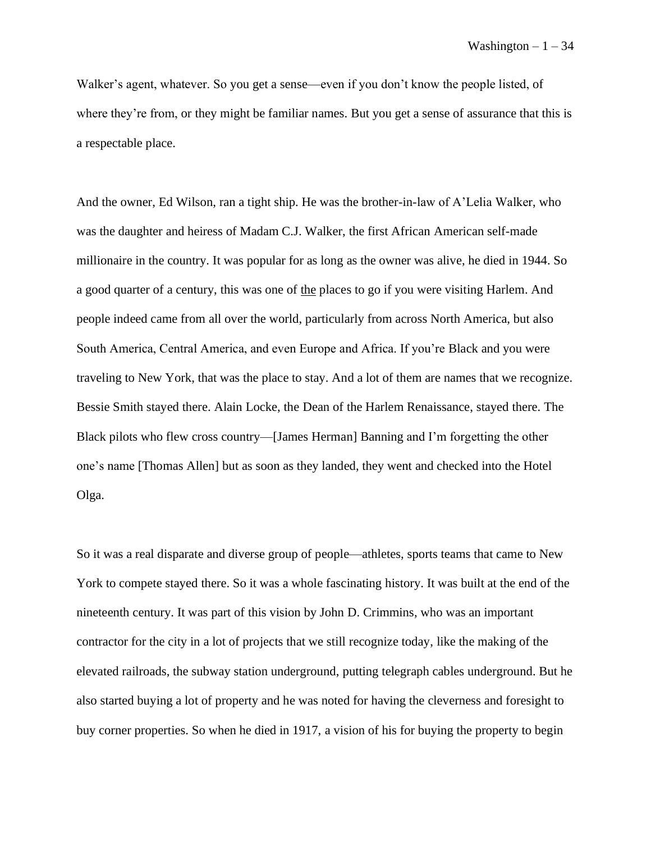Walker's agent, whatever. So you get a sense—even if you don't know the people listed, of where they're from, or they might be familiar names. But you get a sense of assurance that this is a respectable place.

And the owner, Ed Wilson, ran a tight ship. He was the brother-in-law of A'Lelia Walker, who was the daughter and heiress of Madam C.J. Walker, the first African American self-made millionaire in the country. It was popular for as long as the owner was alive, he died in 1944. So a good quarter of a century, this was one of the places to go if you were visiting Harlem. And people indeed came from all over the world, particularly from across North America, but also South America, Central America, and even Europe and Africa. If you're Black and you were traveling to New York, that was the place to stay. And a lot of them are names that we recognize. Bessie Smith stayed there. Alain Locke, the Dean of the Harlem Renaissance, stayed there. The Black pilots who flew cross country—[James Herman] Banning and I'm forgetting the other one's name [Thomas Allen] but as soon as they landed, they went and checked into the Hotel Olga.

So it was a real disparate and diverse group of people––athletes, sports teams that came to New York to compete stayed there. So it was a whole fascinating history. It was built at the end of the nineteenth century. It was part of this vision by John D. Crimmins, who was an important contractor for the city in a lot of projects that we still recognize today, like the making of the elevated railroads, the subway station underground, putting telegraph cables underground. But he also started buying a lot of property and he was noted for having the cleverness and foresight to buy corner properties. So when he died in 1917, a vision of his for buying the property to begin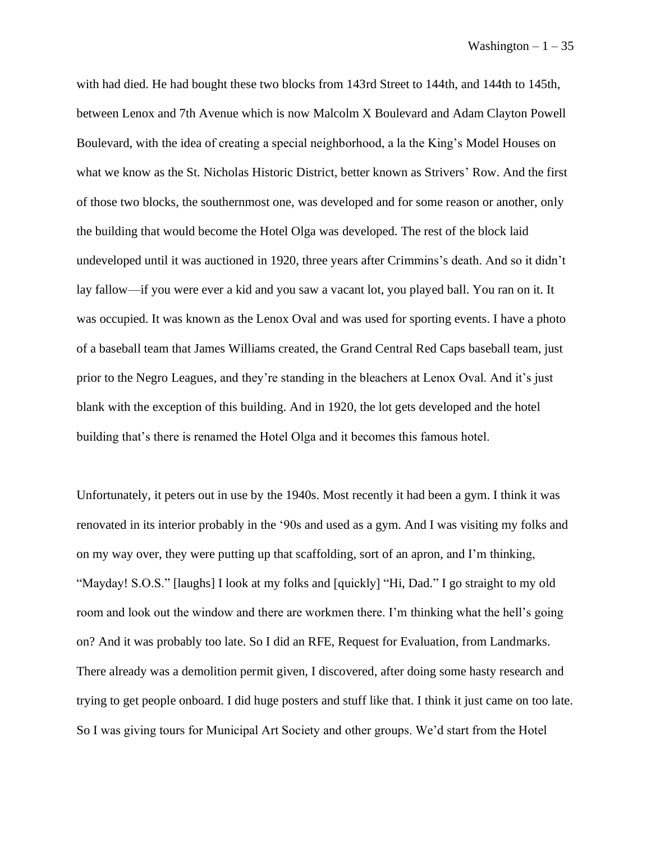with had died. He had bought these two blocks from 143rd Street to 144th, and 144th to 145th, between Lenox and 7th Avenue which is now Malcolm X Boulevard and Adam Clayton Powell Boulevard, with the idea of creating a special neighborhood, a la the King's Model Houses on what we know as the St. Nicholas Historic District, better known as Strivers' Row. And the first of those two blocks, the southernmost one, was developed and for some reason or another, only the building that would become the Hotel Olga was developed. The rest of the block laid undeveloped until it was auctioned in 1920, three years after Crimmins's death. And so it didn't lay fallow––if you were ever a kid and you saw a vacant lot, you played ball. You ran on it. It was occupied. It was known as the Lenox Oval and was used for sporting events. I have a photo of a baseball team that James Williams created, the Grand Central Red Caps baseball team, just prior to the Negro Leagues, and they're standing in the bleachers at Lenox Oval. And it's just blank with the exception of this building. And in 1920, the lot gets developed and the hotel building that's there is renamed the Hotel Olga and it becomes this famous hotel.

Unfortunately, it peters out in use by the 1940s. Most recently it had been a gym. I think it was renovated in its interior probably in the '90s and used as a gym. And I was visiting my folks and on my way over, they were putting up that scaffolding, sort of an apron, and I'm thinking, "Mayday! S.O.S." [laughs] I look at my folks and [quickly] "Hi, Dad." I go straight to my old room and look out the window and there are workmen there. I'm thinking what the hell's going on? And it was probably too late. So I did an RFE, Request for Evaluation, from Landmarks. There already was a demolition permit given, I discovered, after doing some hasty research and trying to get people onboard. I did huge posters and stuff like that. I think it just came on too late. So I was giving tours for Municipal Art Society and other groups. We'd start from the Hotel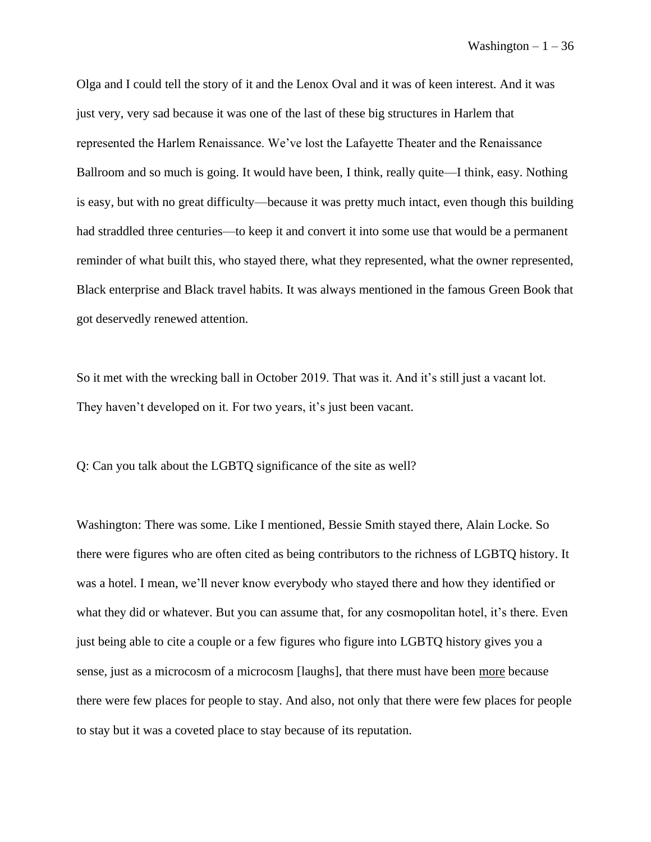Olga and I could tell the story of it and the Lenox Oval and it was of keen interest. And it was just very, very sad because it was one of the last of these big structures in Harlem that represented the Harlem Renaissance. We've lost the Lafayette Theater and the Renaissance Ballroom and so much is going. It would have been, I think, really quite—I think, easy. Nothing is easy, but with no great difficulty––because it was pretty much intact, even though this building had straddled three centuries—to keep it and convert it into some use that would be a permanent reminder of what built this, who stayed there, what they represented, what the owner represented, Black enterprise and Black travel habits. It was always mentioned in the famous Green Book that got deservedly renewed attention.

So it met with the wrecking ball in October 2019. That was it. And it's still just a vacant lot. They haven't developed on it. For two years, it's just been vacant.

Q: Can you talk about the LGBTQ significance of the site as well?

Washington: There was some. Like I mentioned, Bessie Smith stayed there, Alain Locke. So there were figures who are often cited as being contributors to the richness of LGBTQ history. It was a hotel. I mean, we'll never know everybody who stayed there and how they identified or what they did or whatever. But you can assume that, for any cosmopolitan hotel, it's there. Even just being able to cite a couple or a few figures who figure into LGBTQ history gives you a sense, just as a microcosm of a microcosm [laughs], that there must have been more because there were few places for people to stay. And also, not only that there were few places for people to stay but it was a coveted place to stay because of its reputation.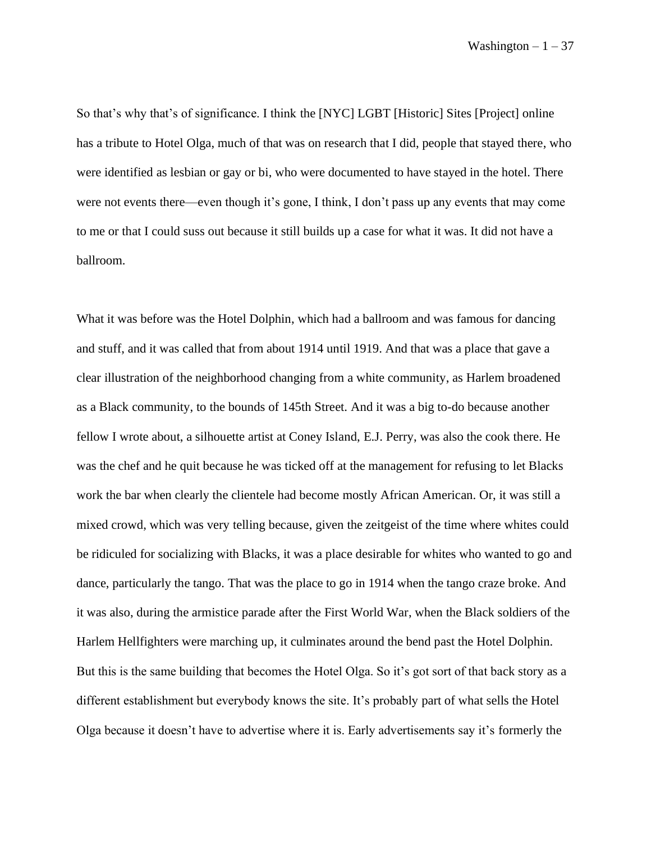So that's why that's of significance. I think the [NYC] LGBT [Historic] Sites [Project] online has a tribute to Hotel Olga, much of that was on research that I did, people that stayed there, who were identified as lesbian or gay or bi, who were documented to have stayed in the hotel. There were not events there––even though it's gone, I think, I don't pass up any events that may come to me or that I could suss out because it still builds up a case for what it was. It did not have a ballroom.

What it was before was the Hotel Dolphin, which had a ballroom and was famous for dancing and stuff, and it was called that from about 1914 until 1919. And that was a place that gave a clear illustration of the neighborhood changing from a white community, as Harlem broadened as a Black community, to the bounds of 145th Street. And it was a big to-do because another fellow I wrote about, a silhouette artist at Coney Island, E.J. Perry, was also the cook there. He was the chef and he quit because he was ticked off at the management for refusing to let Blacks work the bar when clearly the clientele had become mostly African American. Or, it was still a mixed crowd, which was very telling because, given the zeitgeist of the time where whites could be ridiculed for socializing with Blacks, it was a place desirable for whites who wanted to go and dance, particularly the tango. That was the place to go in 1914 when the tango craze broke. And it was also, during the armistice parade after the First World War, when the Black soldiers of the Harlem Hellfighters were marching up, it culminates around the bend past the Hotel Dolphin. But this is the same building that becomes the Hotel Olga. So it's got sort of that back story as a different establishment but everybody knows the site. It's probably part of what sells the Hotel Olga because it doesn't have to advertise where it is. Early advertisements say it's formerly the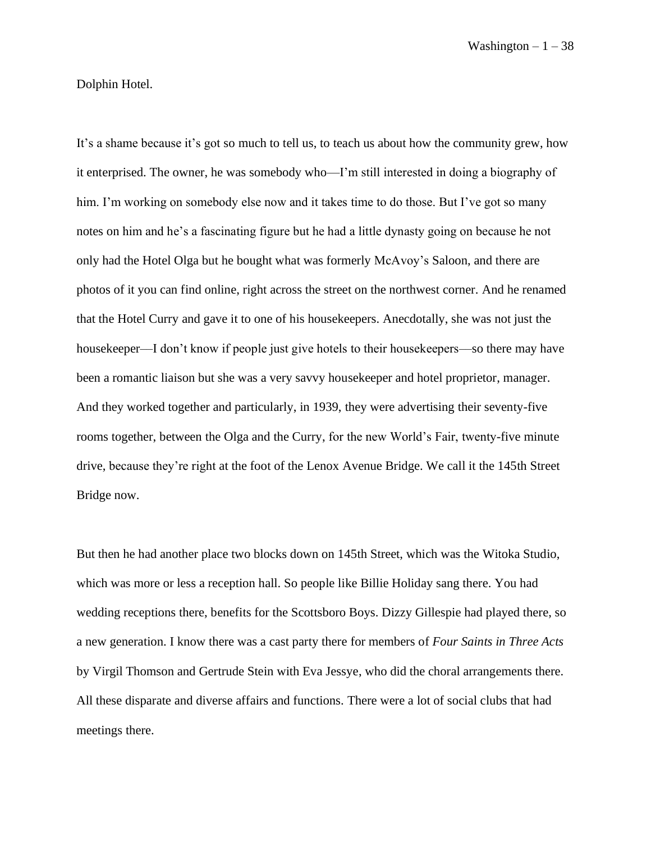Dolphin Hotel.

It's a shame because it's got so much to tell us, to teach us about how the community grew, how it enterprised. The owner, he was somebody who—I'm still interested in doing a biography of him. I'm working on somebody else now and it takes time to do those. But I've got so many notes on him and he's a fascinating figure but he had a little dynasty going on because he not only had the Hotel Olga but he bought what was formerly McAvoy's Saloon, and there are photos of it you can find online, right across the street on the northwest corner. And he renamed that the Hotel Curry and gave it to one of his housekeepers. Anecdotally, she was not just the housekeeper—I don't know if people just give hotels to their housekeepers—so there may have been a romantic liaison but she was a very savvy housekeeper and hotel proprietor, manager. And they worked together and particularly, in 1939, they were advertising their seventy-five rooms together, between the Olga and the Curry, for the new World's Fair, twenty-five minute drive, because they're right at the foot of the Lenox Avenue Bridge. We call it the 145th Street Bridge now.

But then he had another place two blocks down on 145th Street, which was the Witoka Studio, which was more or less a reception hall. So people like Billie Holiday sang there. You had wedding receptions there, benefits for the Scottsboro Boys. Dizzy Gillespie had played there, so a new generation. I know there was a cast party there for members of *Four Saints in Three Acts* by Virgil Thomson and Gertrude Stein with Eva Jessye, who did the choral arrangements there. All these disparate and diverse affairs and functions. There were a lot of social clubs that had meetings there.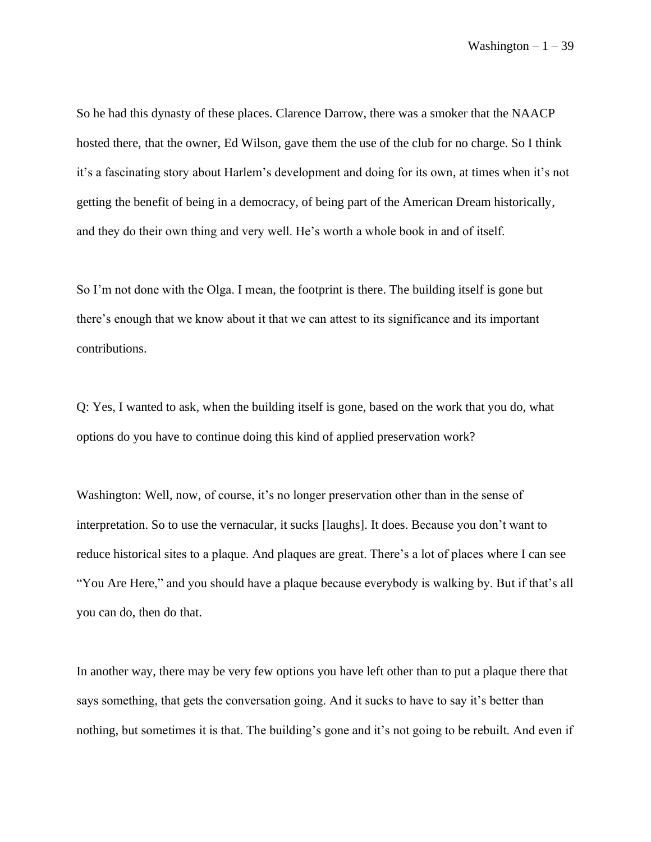So he had this dynasty of these places. Clarence Darrow, there was a smoker that the NAACP hosted there, that the owner, Ed Wilson, gave them the use of the club for no charge. So I think it's a fascinating story about Harlem's development and doing for its own, at times when it's not getting the benefit of being in a democracy, of being part of the American Dream historically, and they do their own thing and very well. He's worth a whole book in and of itself.

So I'm not done with the Olga. I mean, the footprint is there. The building itself is gone but there's enough that we know about it that we can attest to its significance and its important contributions.

Q: Yes, I wanted to ask, when the building itself is gone, based on the work that you do, what options do you have to continue doing this kind of applied preservation work?

Washington: Well, now, of course, it's no longer preservation other than in the sense of interpretation. So to use the vernacular, it sucks [laughs]. It does. Because you don't want to reduce historical sites to a plaque. And plaques are great. There's a lot of places where I can see "You Are Here," and you should have a plaque because everybody is walking by. But if that's all you can do, then do that.

In another way, there may be very few options you have left other than to put a plaque there that says something, that gets the conversation going. And it sucks to have to say it's better than nothing, but sometimes it is that. The building's gone and it's not going to be rebuilt. And even if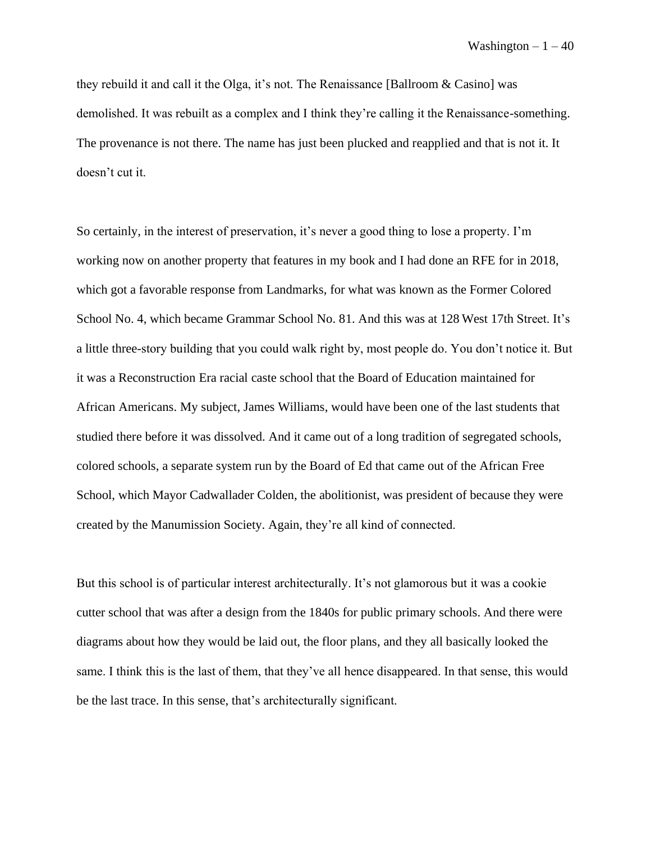they rebuild it and call it the Olga, it's not. The Renaissance [Ballroom & Casino] was demolished. It was rebuilt as a complex and I think they're calling it the Renaissance-something. The provenance is not there. The name has just been plucked and reapplied and that is not it. It doesn't cut it.

So certainly, in the interest of preservation, it's never a good thing to lose a property. I'm working now on another property that features in my book and I had done an RFE for in 2018, which got a favorable response from Landmarks, for what was known as the Former Colored School No. 4, which became Grammar School No. 81. And this was at 128 West 17th Street. It's a little three-story building that you could walk right by, most people do. You don't notice it. But it was a Reconstruction Era racial caste school that the Board of Education maintained for African Americans. My subject, James Williams, would have been one of the last students that studied there before it was dissolved. And it came out of a long tradition of segregated schools, colored schools, a separate system run by the Board of Ed that came out of the African Free School, which Mayor Cadwallader Colden, the abolitionist, was president of because they were created by the Manumission Society. Again, they're all kind of connected.

But this school is of particular interest architecturally. It's not glamorous but it was a cookie cutter school that was after a design from the 1840s for public primary schools. And there were diagrams about how they would be laid out, the floor plans, and they all basically looked the same. I think this is the last of them, that they've all hence disappeared. In that sense, this would be the last trace. In this sense, that's architecturally significant.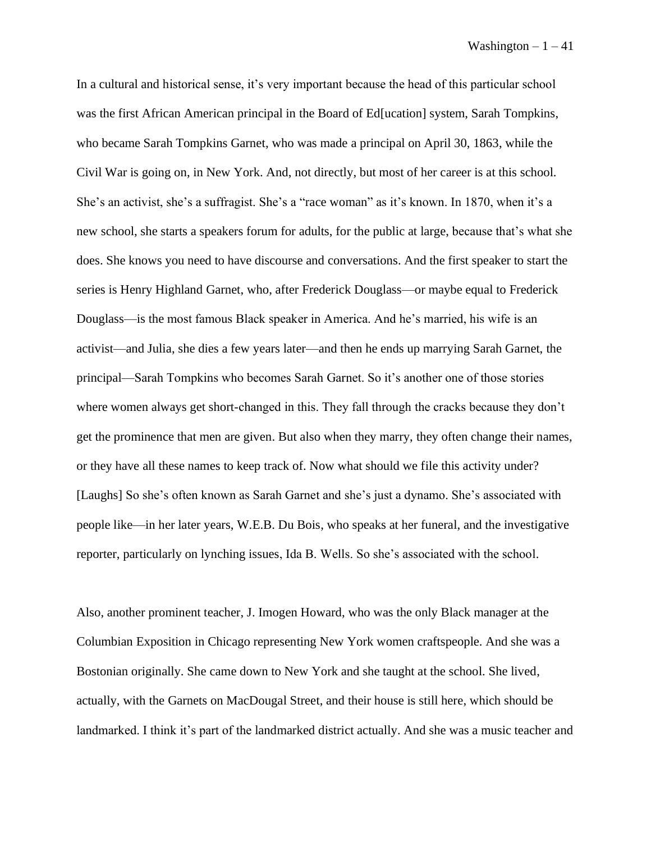In a cultural and historical sense, it's very important because the head of this particular school was the first African American principal in the Board of Ed[ucation] system, Sarah Tompkins, who became Sarah Tompkins Garnet, who was made a principal on April 30, 1863, while the Civil War is going on, in New York. And, not directly, but most of her career is at this school. She's an activist, she's a suffragist. She's a "race woman" as it's known. In 1870, when it's a new school, she starts a speakers forum for adults, for the public at large, because that's what she does. She knows you need to have discourse and conversations. And the first speaker to start the series is Henry Highland Garnet, who, after Frederick Douglass––or maybe equal to Frederick Douglass––is the most famous Black speaker in America. And he's married, his wife is an activist––and Julia, she dies a few years later––and then he ends up marrying Sarah Garnet, the principal—Sarah Tompkins who becomes Sarah Garnet. So it's another one of those stories where women always get short-changed in this. They fall through the cracks because they don't get the prominence that men are given. But also when they marry, they often change their names, or they have all these names to keep track of. Now what should we file this activity under? [Laughs] So she's often known as Sarah Garnet and she's just a dynamo. She's associated with people like—in her later years, W.E.B. Du Bois, who speaks at her funeral, and the investigative reporter, particularly on lynching issues, Ida B. Wells. So she's associated with the school.

Also, another prominent teacher, J. Imogen Howard, who was the only Black manager at the Columbian Exposition in Chicago representing New York women craftspeople. And she was a Bostonian originally. She came down to New York and she taught at the school. She lived, actually, with the Garnets on MacDougal Street, and their house is still here, which should be landmarked. I think it's part of the landmarked district actually. And she was a music teacher and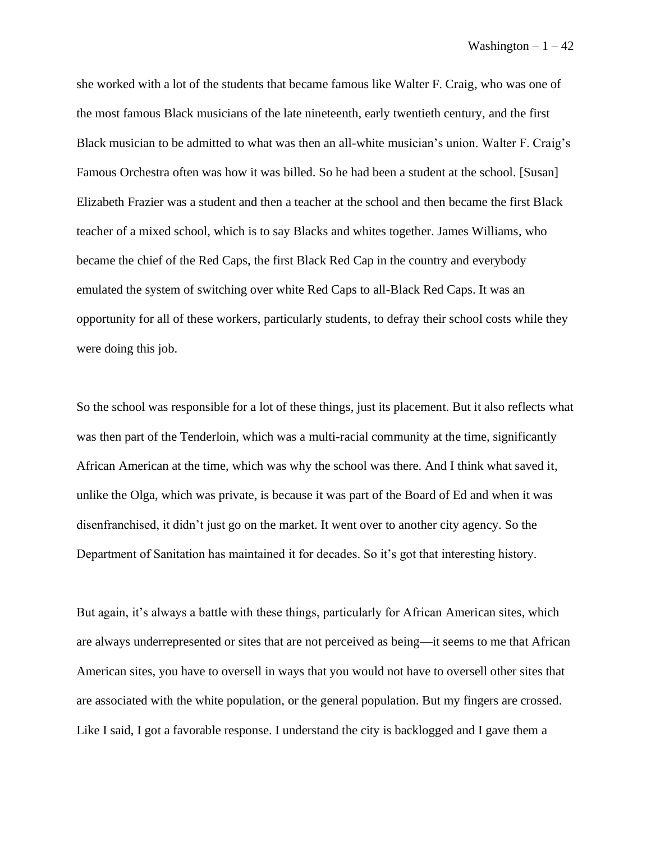she worked with a lot of the students that became famous like Walter F. Craig, who was one of the most famous Black musicians of the late nineteenth, early twentieth century, and the first Black musician to be admitted to what was then an all-white musician's union. Walter F. Craig's Famous Orchestra often was how it was billed. So he had been a student at the school. [Susan] Elizabeth Frazier was a student and then a teacher at the school and then became the first Black teacher of a mixed school, which is to say Blacks and whites together. James Williams, who became the chief of the Red Caps, the first Black Red Cap in the country and everybody emulated the system of switching over white Red Caps to all-Black Red Caps. It was an opportunity for all of these workers, particularly students, to defray their school costs while they were doing this job.

So the school was responsible for a lot of these things, just its placement. But it also reflects what was then part of the Tenderloin, which was a multi-racial community at the time, significantly African American at the time, which was why the school was there. And I think what saved it, unlike the Olga, which was private, is because it was part of the Board of Ed and when it was disenfranchised, it didn't just go on the market. It went over to another city agency. So the Department of Sanitation has maintained it for decades. So it's got that interesting history.

But again, it's always a battle with these things, particularly for African American sites, which are always underrepresented or sites that are not perceived as being—it seems to me that African American sites, you have to oversell in ways that you would not have to oversell other sites that are associated with the white population, or the general population. But my fingers are crossed. Like I said, I got a favorable response. I understand the city is backlogged and I gave them a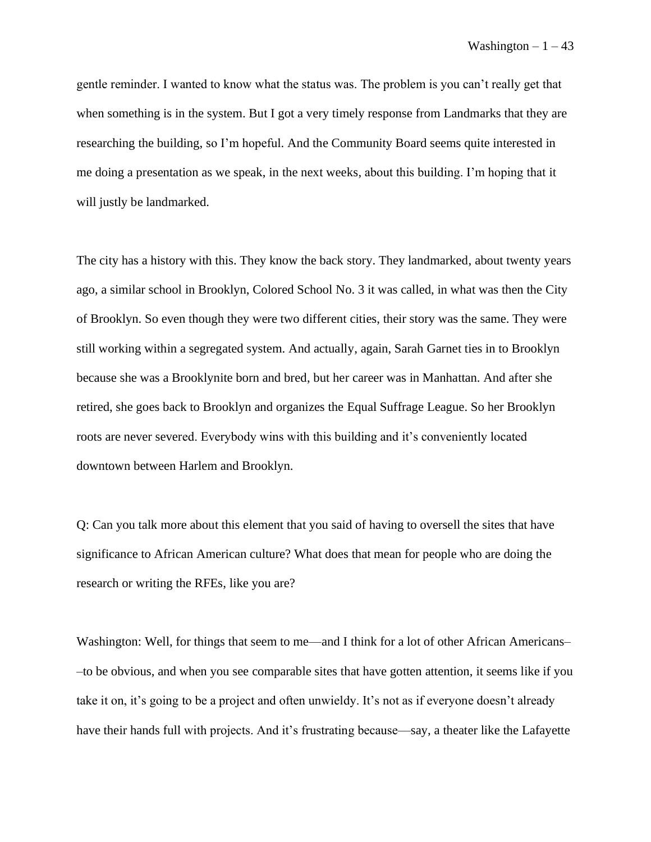gentle reminder. I wanted to know what the status was. The problem is you can't really get that when something is in the system. But I got a very timely response from Landmarks that they are researching the building, so I'm hopeful. And the Community Board seems quite interested in me doing a presentation as we speak, in the next weeks, about this building. I'm hoping that it will justly be landmarked.

The city has a history with this. They know the back story. They landmarked, about twenty years ago, a similar school in Brooklyn, Colored School No. 3 it was called, in what was then the City of Brooklyn. So even though they were two different cities, their story was the same. They were still working within a segregated system. And actually, again, Sarah Garnet ties in to Brooklyn because she was a Brooklynite born and bred, but her career was in Manhattan. And after she retired, she goes back to Brooklyn and organizes the Equal Suffrage League. So her Brooklyn roots are never severed. Everybody wins with this building and it's conveniently located downtown between Harlem and Brooklyn.

Q: Can you talk more about this element that you said of having to oversell the sites that have significance to African American culture? What does that mean for people who are doing the research or writing the RFEs, like you are?

Washington: Well, for things that seem to me—and I think for a lot of other African Americans– –to be obvious, and when you see comparable sites that have gotten attention, it seems like if you take it on, it's going to be a project and often unwieldy. It's not as if everyone doesn't already have their hands full with projects. And it's frustrating because—say, a theater like the Lafayette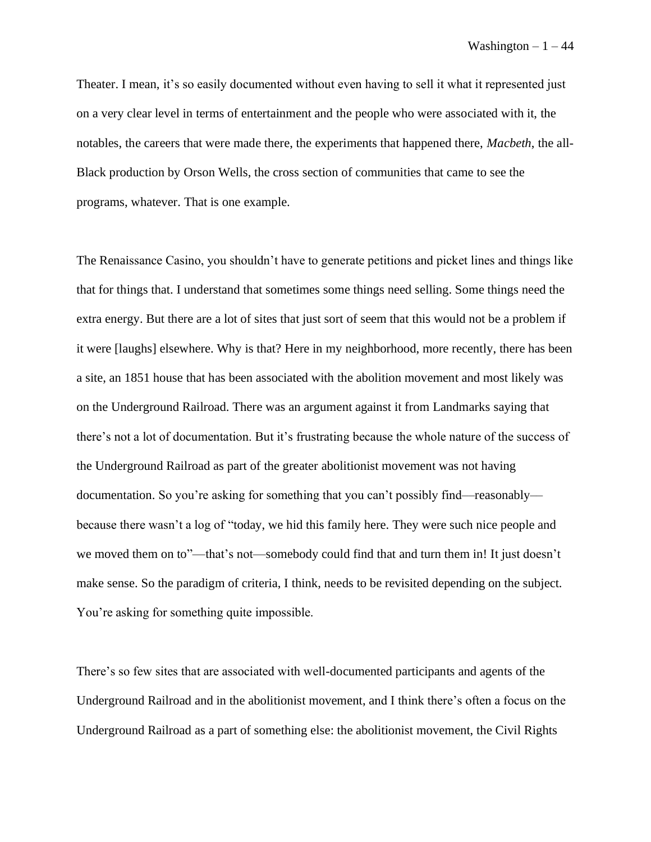Theater. I mean, it's so easily documented without even having to sell it what it represented just on a very clear level in terms of entertainment and the people who were associated with it, the notables, the careers that were made there, the experiments that happened there, *Macbeth*, the all-Black production by Orson Wells, the cross section of communities that came to see the programs, whatever. That is one example.

The Renaissance Casino, you shouldn't have to generate petitions and picket lines and things like that for things that. I understand that sometimes some things need selling. Some things need the extra energy. But there are a lot of sites that just sort of seem that this would not be a problem if it were [laughs] elsewhere. Why is that? Here in my neighborhood, more recently, there has been a site, an 1851 house that has been associated with the abolition movement and most likely was on the Underground Railroad. There was an argument against it from Landmarks saying that there's not a lot of documentation. But it's frustrating because the whole nature of the success of the Underground Railroad as part of the greater abolitionist movement was not having documentation. So you're asking for something that you can't possibly find––reasonably–– because there wasn't a log of "today, we hid this family here. They were such nice people and we moved them on to"—that's not—somebody could find that and turn them in! It just doesn't make sense. So the paradigm of criteria, I think, needs to be revisited depending on the subject. You're asking for something quite impossible.

There's so few sites that are associated with well-documented participants and agents of the Underground Railroad and in the abolitionist movement, and I think there's often a focus on the Underground Railroad as a part of something else: the abolitionist movement, the Civil Rights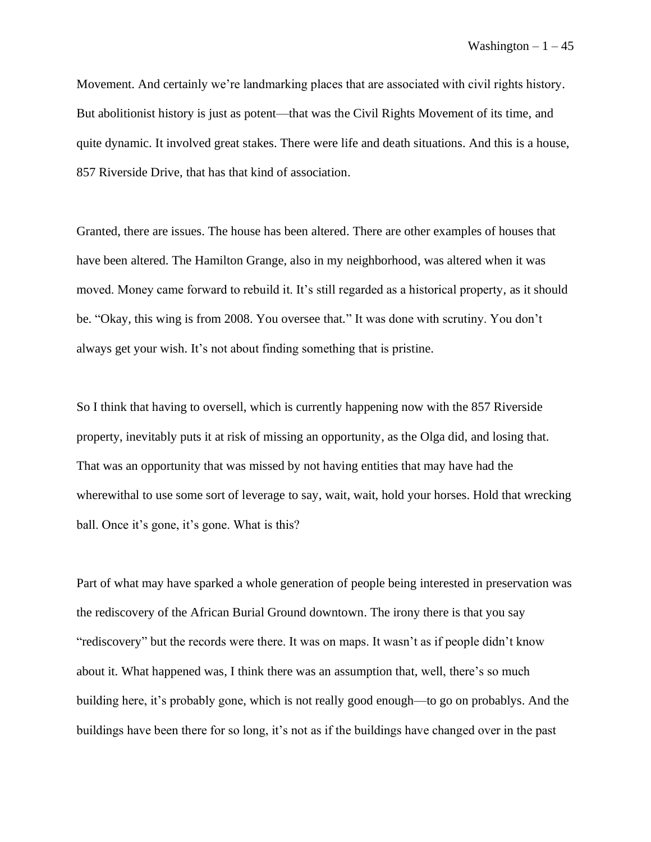Movement. And certainly we're landmarking places that are associated with civil rights history. But abolitionist history is just as potent—that was the Civil Rights Movement of its time, and quite dynamic. It involved great stakes. There were life and death situations. And this is a house, 857 Riverside Drive, that has that kind of association.

Granted, there are issues. The house has been altered. There are other examples of houses that have been altered. The Hamilton Grange, also in my neighborhood, was altered when it was moved. Money came forward to rebuild it. It's still regarded as a historical property, as it should be. "Okay, this wing is from 2008. You oversee that." It was done with scrutiny. You don't always get your wish. It's not about finding something that is pristine.

So I think that having to oversell, which is currently happening now with the 857 Riverside property, inevitably puts it at risk of missing an opportunity, as the Olga did, and losing that. That was an opportunity that was missed by not having entities that may have had the wherewithal to use some sort of leverage to say, wait, wait, hold your horses. Hold that wrecking ball. Once it's gone, it's gone. What is this?

Part of what may have sparked a whole generation of people being interested in preservation was the rediscovery of the African Burial Ground downtown. The irony there is that you say "rediscovery" but the records were there. It was on maps. It wasn't as if people didn't know about it. What happened was, I think there was an assumption that, well, there's so much building here, it's probably gone, which is not really good enough––to go on probablys. And the buildings have been there for so long, it's not as if the buildings have changed over in the past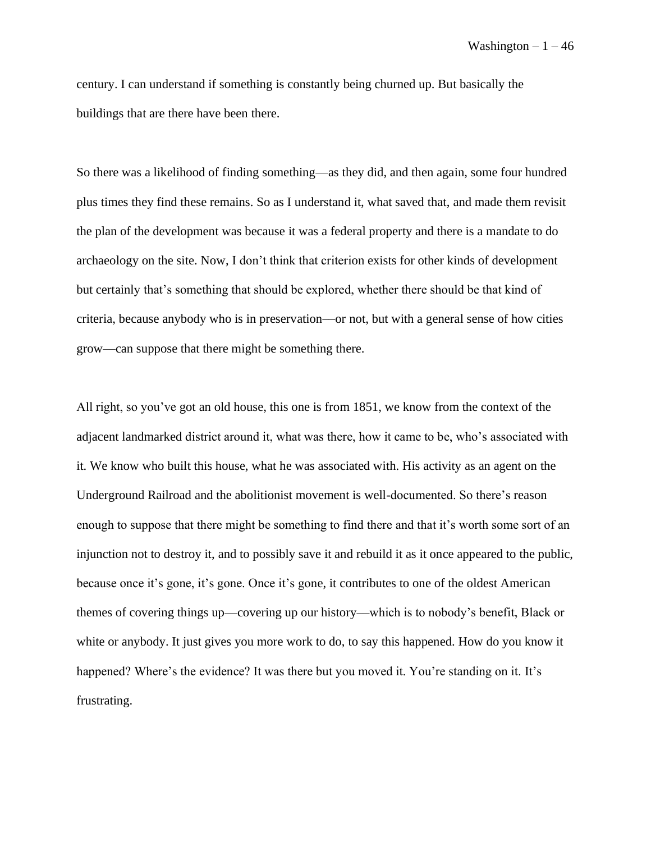century. I can understand if something is constantly being churned up. But basically the buildings that are there have been there.

So there was a likelihood of finding something––as they did, and then again, some four hundred plus times they find these remains. So as I understand it, what saved that, and made them revisit the plan of the development was because it was a federal property and there is a mandate to do archaeology on the site. Now, I don't think that criterion exists for other kinds of development but certainly that's something that should be explored, whether there should be that kind of criteria, because anybody who is in preservation––or not, but with a general sense of how cities grow––can suppose that there might be something there.

All right, so you've got an old house, this one is from 1851, we know from the context of the adjacent landmarked district around it, what was there, how it came to be, who's associated with it. We know who built this house, what he was associated with. His activity as an agent on the Underground Railroad and the abolitionist movement is well-documented. So there's reason enough to suppose that there might be something to find there and that it's worth some sort of an injunction not to destroy it, and to possibly save it and rebuild it as it once appeared to the public, because once it's gone, it's gone. Once it's gone, it contributes to one of the oldest American themes of covering things up––covering up our history––which is to nobody's benefit, Black or white or anybody. It just gives you more work to do, to say this happened. How do you know it happened? Where's the evidence? It was there but you moved it. You're standing on it. It's frustrating.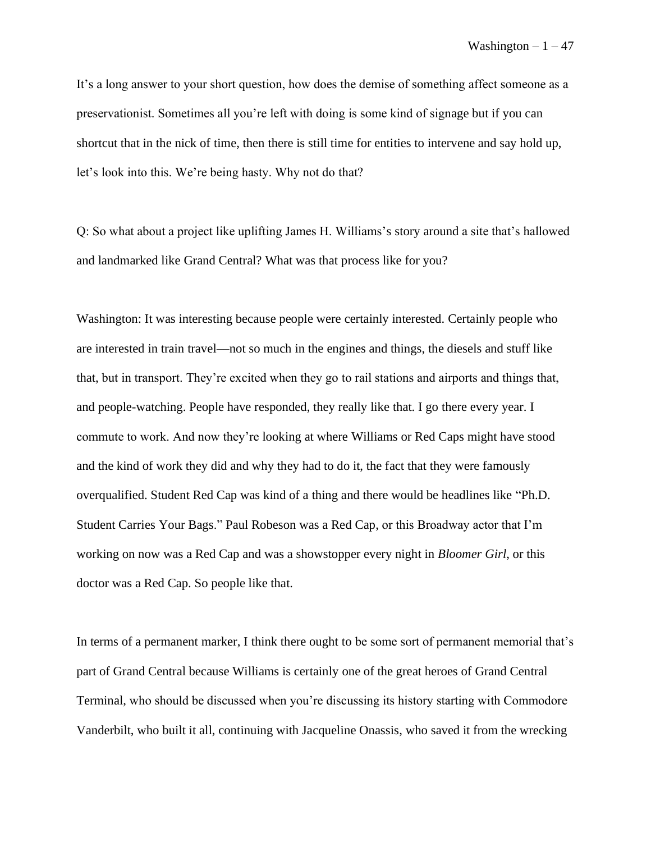It's a long answer to your short question, how does the demise of something affect someone as a preservationist. Sometimes all you're left with doing is some kind of signage but if you can shortcut that in the nick of time, then there is still time for entities to intervene and say hold up, let's look into this. We're being hasty. Why not do that?

Q: So what about a project like uplifting James H. Williams's story around a site that's hallowed and landmarked like Grand Central? What was that process like for you?

Washington: It was interesting because people were certainly interested. Certainly people who are interested in train travel––not so much in the engines and things, the diesels and stuff like that, but in transport. They're excited when they go to rail stations and airports and things that, and people-watching. People have responded, they really like that. I go there every year. I commute to work. And now they're looking at where Williams or Red Caps might have stood and the kind of work they did and why they had to do it, the fact that they were famously overqualified. Student Red Cap was kind of a thing and there would be headlines like "Ph.D. Student Carries Your Bags." Paul Robeson was a Red Cap, or this Broadway actor that I'm working on now was a Red Cap and was a showstopper every night in *Bloomer Girl*, or this doctor was a Red Cap. So people like that.

In terms of a permanent marker, I think there ought to be some sort of permanent memorial that's part of Grand Central because Williams is certainly one of the great heroes of Grand Central Terminal, who should be discussed when you're discussing its history starting with Commodore Vanderbilt, who built it all, continuing with Jacqueline Onassis, who saved it from the wrecking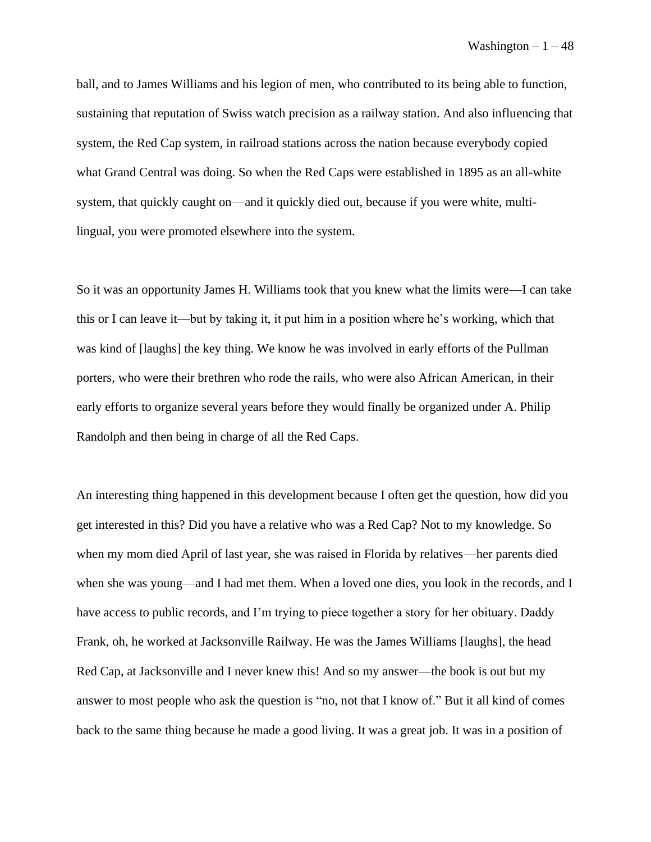ball, and to James Williams and his legion of men, who contributed to its being able to function, sustaining that reputation of Swiss watch precision as a railway station. And also influencing that system, the Red Cap system, in railroad stations across the nation because everybody copied what Grand Central was doing. So when the Red Caps were established in 1895 as an all-white system, that quickly caught on––and it quickly died out, because if you were white, multilingual, you were promoted elsewhere into the system.

So it was an opportunity James H. Williams took that you knew what the limits were––I can take this or I can leave it––but by taking it, it put him in a position where he's working, which that was kind of [laughs] the key thing. We know he was involved in early efforts of the Pullman porters, who were their brethren who rode the rails, who were also African American, in their early efforts to organize several years before they would finally be organized under A. Philip Randolph and then being in charge of all the Red Caps.

An interesting thing happened in this development because I often get the question, how did you get interested in this? Did you have a relative who was a Red Cap? Not to my knowledge. So when my mom died April of last year, she was raised in Florida by relatives––her parents died when she was young—and I had met them. When a loved one dies, you look in the records, and I have access to public records, and I'm trying to piece together a story for her obituary. Daddy Frank, oh, he worked at Jacksonville Railway. He was the James Williams [laughs], the head Red Cap, at Jacksonville and I never knew this! And so my answer—the book is out but my answer to most people who ask the question is "no, not that I know of." But it all kind of comes back to the same thing because he made a good living. It was a great job. It was in a position of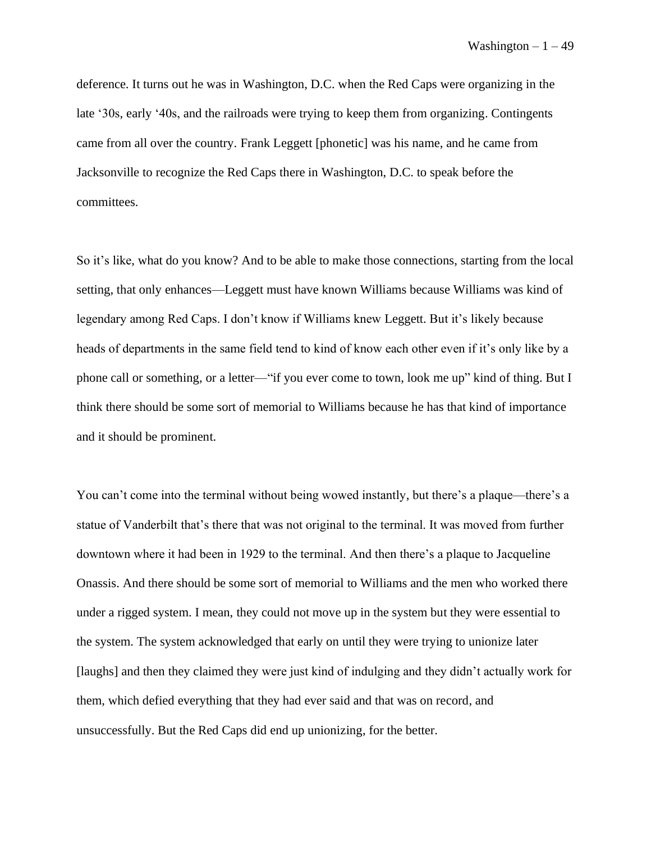deference. It turns out he was in Washington, D.C. when the Red Caps were organizing in the late '30s, early '40s, and the railroads were trying to keep them from organizing. Contingents came from all over the country. Frank Leggett [phonetic] was his name, and he came from Jacksonville to recognize the Red Caps there in Washington, D.C. to speak before the committees.

So it's like, what do you know? And to be able to make those connections, starting from the local setting, that only enhances—Leggett must have known Williams because Williams was kind of legendary among Red Caps. I don't know if Williams knew Leggett. But it's likely because heads of departments in the same field tend to kind of know each other even if it's only like by a phone call or something, or a letter––"if you ever come to town, look me up" kind of thing. But I think there should be some sort of memorial to Williams because he has that kind of importance and it should be prominent.

You can't come into the terminal without being wowed instantly, but there's a plaque—there's a statue of Vanderbilt that's there that was not original to the terminal. It was moved from further downtown where it had been in 1929 to the terminal. And then there's a plaque to Jacqueline Onassis. And there should be some sort of memorial to Williams and the men who worked there under a rigged system. I mean, they could not move up in the system but they were essential to the system. The system acknowledged that early on until they were trying to unionize later [laughs] and then they claimed they were just kind of indulging and they didn't actually work for them, which defied everything that they had ever said and that was on record, and unsuccessfully. But the Red Caps did end up unionizing, for the better.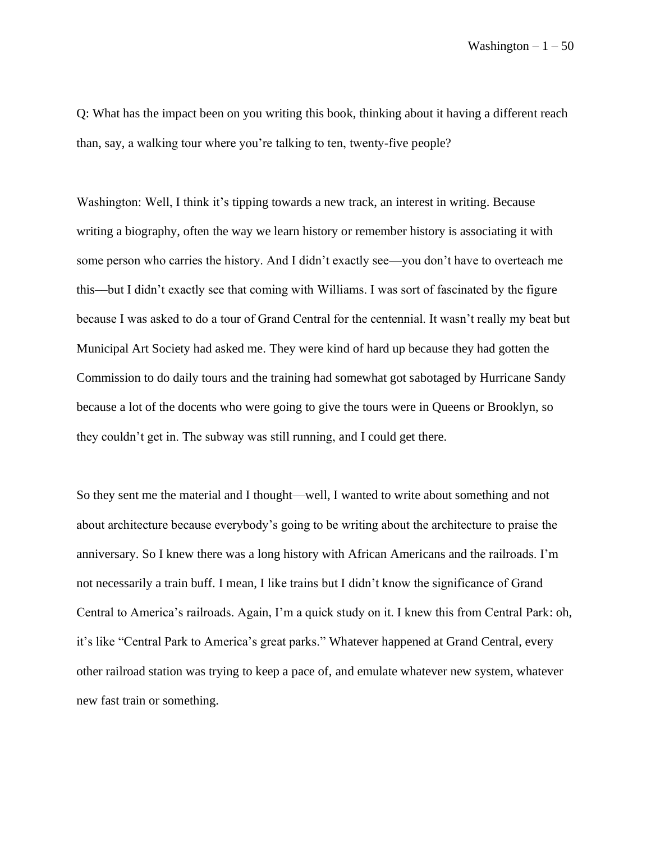Q: What has the impact been on you writing this book, thinking about it having a different reach than, say, a walking tour where you're talking to ten, twenty-five people?

Washington: Well, I think it's tipping towards a new track, an interest in writing. Because writing a biography, often the way we learn history or remember history is associating it with some person who carries the history. And I didn't exactly see—you don't have to overteach me this––but I didn't exactly see that coming with Williams. I was sort of fascinated by the figure because I was asked to do a tour of Grand Central for the centennial. It wasn't really my beat but Municipal Art Society had asked me. They were kind of hard up because they had gotten the Commission to do daily tours and the training had somewhat got sabotaged by Hurricane Sandy because a lot of the docents who were going to give the tours were in Queens or Brooklyn, so they couldn't get in. The subway was still running, and I could get there.

So they sent me the material and I thought—well, I wanted to write about something and not about architecture because everybody's going to be writing about the architecture to praise the anniversary. So I knew there was a long history with African Americans and the railroads. I'm not necessarily a train buff. I mean, I like trains but I didn't know the significance of Grand Central to America's railroads. Again, I'm a quick study on it. I knew this from Central Park: oh, it's like "Central Park to America's great parks." Whatever happened at Grand Central, every other railroad station was trying to keep a pace of, and emulate whatever new system, whatever new fast train or something.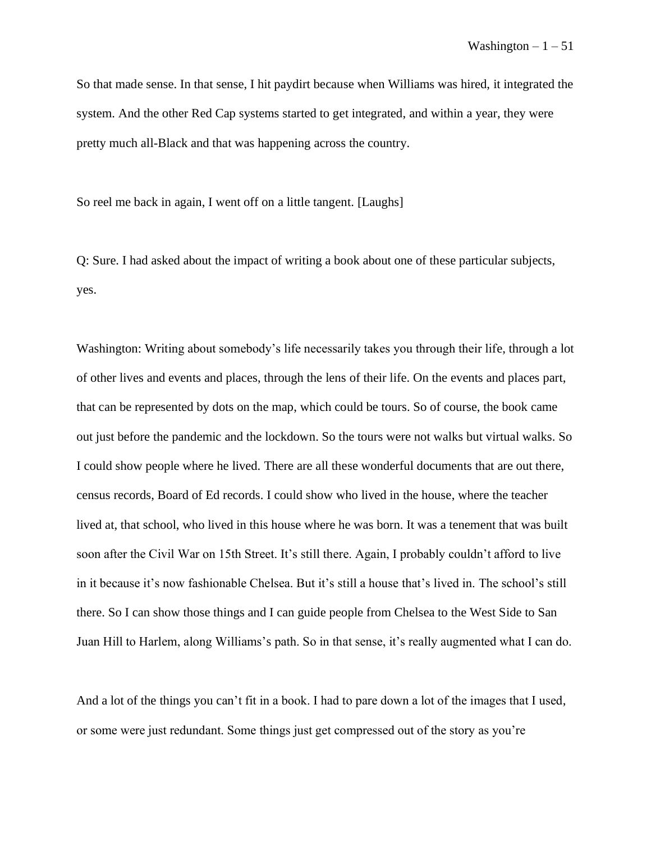So that made sense. In that sense, I hit paydirt because when Williams was hired, it integrated the system. And the other Red Cap systems started to get integrated, and within a year, they were pretty much all-Black and that was happening across the country.

So reel me back in again, I went off on a little tangent. [Laughs]

Q: Sure. I had asked about the impact of writing a book about one of these particular subjects, yes.

Washington: Writing about somebody's life necessarily takes you through their life, through a lot of other lives and events and places, through the lens of their life. On the events and places part, that can be represented by dots on the map, which could be tours. So of course, the book came out just before the pandemic and the lockdown. So the tours were not walks but virtual walks. So I could show people where he lived. There are all these wonderful documents that are out there, census records, Board of Ed records. I could show who lived in the house, where the teacher lived at, that school, who lived in this house where he was born. It was a tenement that was built soon after the Civil War on 15th Street. It's still there. Again, I probably couldn't afford to live in it because it's now fashionable Chelsea. But it's still a house that's lived in. The school's still there. So I can show those things and I can guide people from Chelsea to the West Side to San Juan Hill to Harlem, along Williams's path. So in that sense, it's really augmented what I can do.

And a lot of the things you can't fit in a book. I had to pare down a lot of the images that I used, or some were just redundant. Some things just get compressed out of the story as you're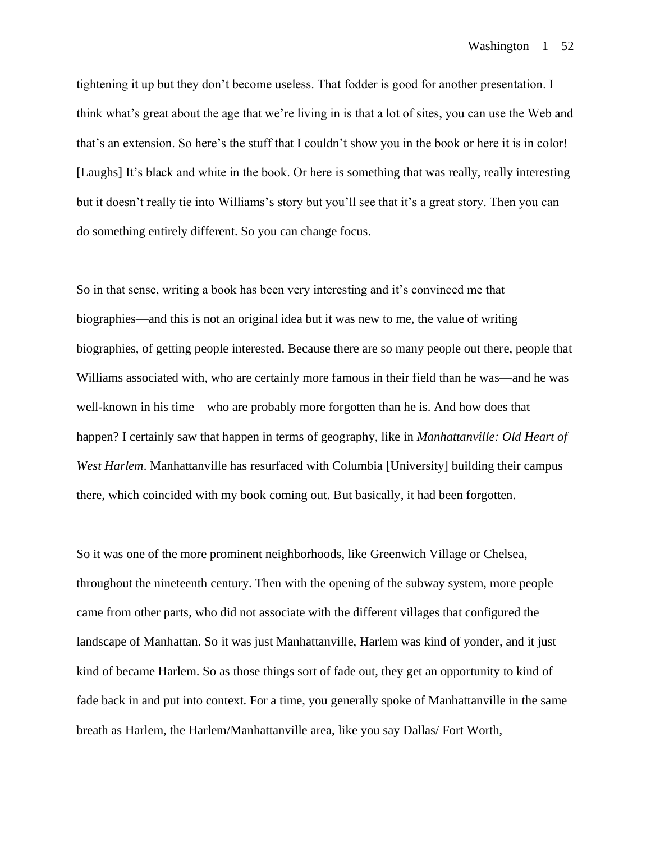tightening it up but they don't become useless. That fodder is good for another presentation. I think what's great about the age that we're living in is that a lot of sites, you can use the Web and that's an extension. So here's the stuff that I couldn't show you in the book or here it is in color! [Laughs] It's black and white in the book. Or here is something that was really, really interesting but it doesn't really tie into Williams's story but you'll see that it's a great story. Then you can do something entirely different. So you can change focus.

So in that sense, writing a book has been very interesting and it's convinced me that biographies—and this is not an original idea but it was new to me, the value of writing biographies, of getting people interested. Because there are so many people out there, people that Williams associated with, who are certainly more famous in their field than he was––and he was well-known in his time––who are probably more forgotten than he is. And how does that happen? I certainly saw that happen in terms of geography, like in *Manhattanville: Old Heart of West Harlem*. Manhattanville has resurfaced with Columbia [University] building their campus there, which coincided with my book coming out. But basically, it had been forgotten.

So it was one of the more prominent neighborhoods, like Greenwich Village or Chelsea, throughout the nineteenth century. Then with the opening of the subway system, more people came from other parts, who did not associate with the different villages that configured the landscape of Manhattan. So it was just Manhattanville, Harlem was kind of yonder, and it just kind of became Harlem. So as those things sort of fade out, they get an opportunity to kind of fade back in and put into context. For a time, you generally spoke of Manhattanville in the same breath as Harlem, the Harlem/Manhattanville area, like you say Dallas/ Fort Worth,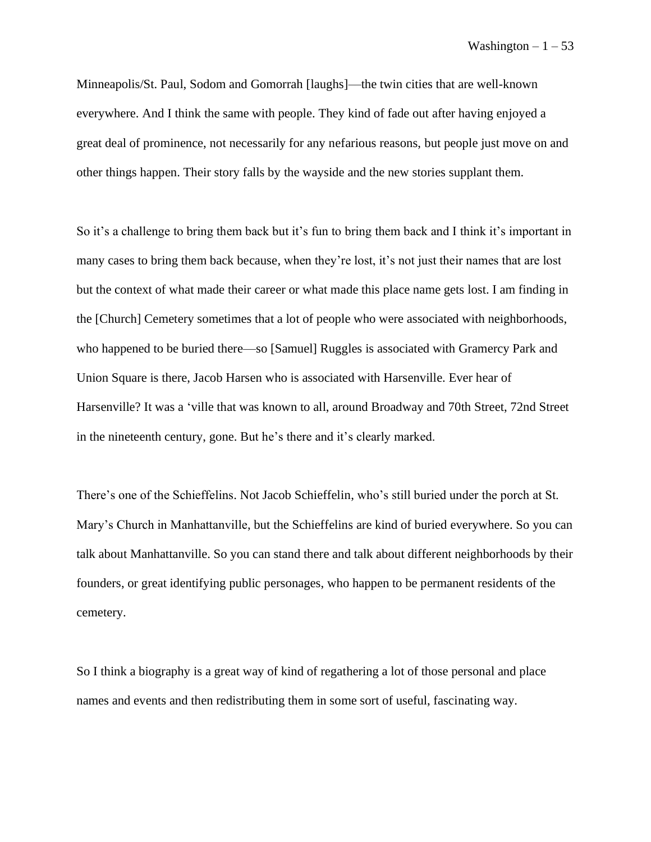Minneapolis/St. Paul, Sodom and Gomorrah [laughs]––the twin cities that are well-known everywhere. And I think the same with people. They kind of fade out after having enjoyed a great deal of prominence, not necessarily for any nefarious reasons, but people just move on and other things happen. Their story falls by the wayside and the new stories supplant them.

So it's a challenge to bring them back but it's fun to bring them back and I think it's important in many cases to bring them back because, when they're lost, it's not just their names that are lost but the context of what made their career or what made this place name gets lost. I am finding in the [Church] Cemetery sometimes that a lot of people who were associated with neighborhoods, who happened to be buried there—so [Samuel] Ruggles is associated with Gramercy Park and Union Square is there, Jacob Harsen who is associated with Harsenville. Ever hear of Harsenville? It was a 'ville that was known to all, around Broadway and 70th Street, 72nd Street in the nineteenth century, gone. But he's there and it's clearly marked.

There's one of the Schieffelins. Not Jacob Schieffelin, who's still buried under the porch at St. Mary's Church in Manhattanville, but the Schieffelins are kind of buried everywhere. So you can talk about Manhattanville. So you can stand there and talk about different neighborhoods by their founders, or great identifying public personages, who happen to be permanent residents of the cemetery.

So I think a biography is a great way of kind of regathering a lot of those personal and place names and events and then redistributing them in some sort of useful, fascinating way.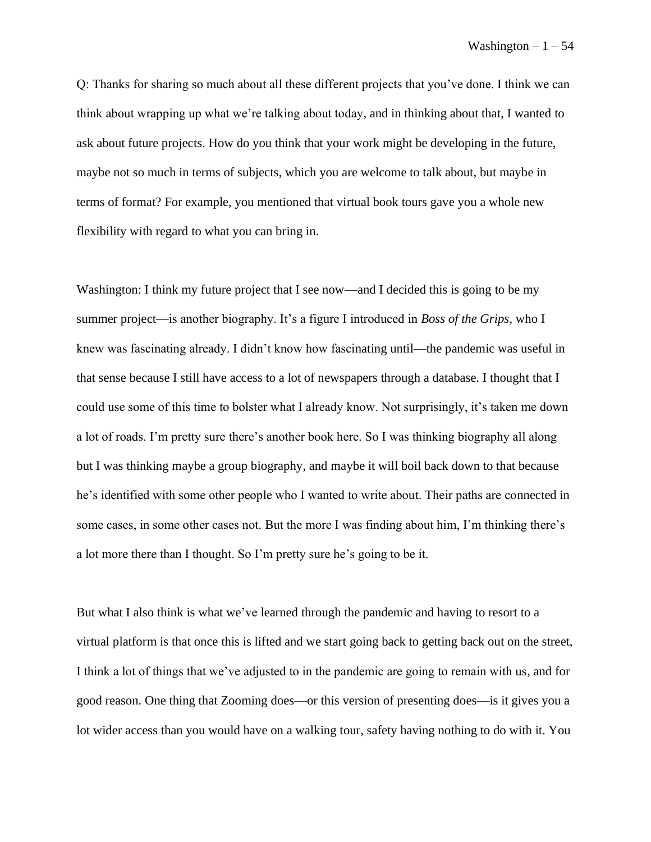Q: Thanks for sharing so much about all these different projects that you've done. I think we can think about wrapping up what we're talking about today, and in thinking about that, I wanted to ask about future projects. How do you think that your work might be developing in the future, maybe not so much in terms of subjects, which you are welcome to talk about, but maybe in terms of format? For example, you mentioned that virtual book tours gave you a whole new flexibility with regard to what you can bring in.

Washington: I think my future project that I see now—and I decided this is going to be my summer project––is another biography. It's a figure I introduced in *Boss of the Grips*, who I knew was fascinating already. I didn't know how fascinating until—the pandemic was useful in that sense because I still have access to a lot of newspapers through a database. I thought that I could use some of this time to bolster what I already know. Not surprisingly, it's taken me down a lot of roads. I'm pretty sure there's another book here. So I was thinking biography all along but I was thinking maybe a group biography, and maybe it will boil back down to that because he's identified with some other people who I wanted to write about. Their paths are connected in some cases, in some other cases not. But the more I was finding about him, I'm thinking there's a lot more there than I thought. So I'm pretty sure he's going to be it.

But what I also think is what we've learned through the pandemic and having to resort to a virtual platform is that once this is lifted and we start going back to getting back out on the street, I think a lot of things that we've adjusted to in the pandemic are going to remain with us, and for good reason. One thing that Zooming does––or this version of presenting does––is it gives you a lot wider access than you would have on a walking tour, safety having nothing to do with it. You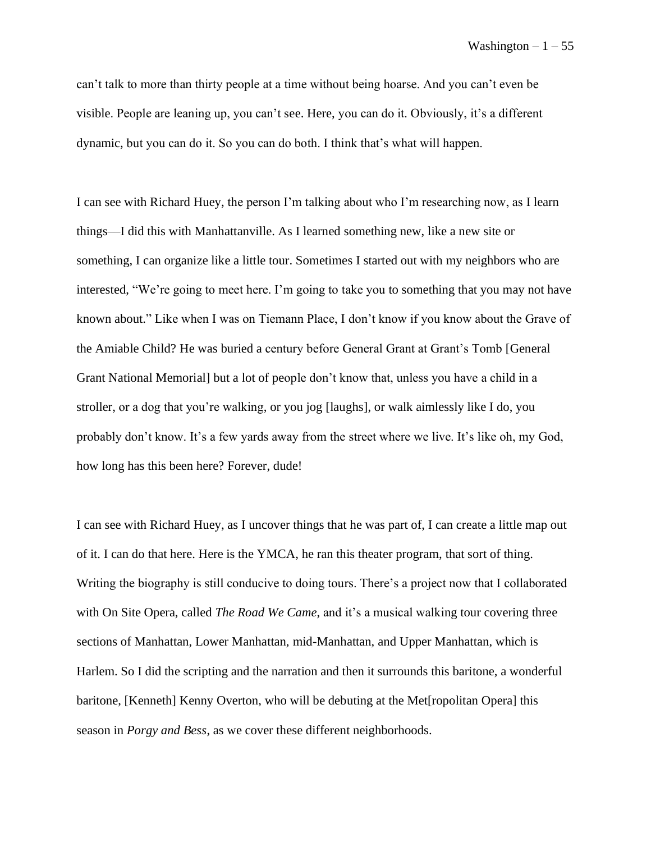can't talk to more than thirty people at a time without being hoarse. And you can't even be visible. People are leaning up, you can't see. Here, you can do it. Obviously, it's a different dynamic, but you can do it. So you can do both. I think that's what will happen.

I can see with Richard Huey, the person I'm talking about who I'm researching now, as I learn things––I did this with Manhattanville. As I learned something new, like a new site or something, I can organize like a little tour. Sometimes I started out with my neighbors who are interested, "We're going to meet here. I'm going to take you to something that you may not have known about." Like when I was on Tiemann Place, I don't know if you know about the Grave of the Amiable Child? He was buried a century before General Grant at Grant's Tomb [General Grant National Memorial] but a lot of people don't know that, unless you have a child in a stroller, or a dog that you're walking, or you jog [laughs], or walk aimlessly like I do, you probably don't know. It's a few yards away from the street where we live. It's like oh, my God, how long has this been here? Forever, dude!

I can see with Richard Huey, as I uncover things that he was part of, I can create a little map out of it. I can do that here. Here is the YMCA, he ran this theater program, that sort of thing. Writing the biography is still conducive to doing tours. There's a project now that I collaborated with On Site Opera, called *The Road We Came*, and it's a musical walking tour covering three sections of Manhattan, Lower Manhattan, mid-Manhattan, and Upper Manhattan, which is Harlem. So I did the scripting and the narration and then it surrounds this baritone, a wonderful baritone, [Kenneth] Kenny Overton, who will be debuting at the Met[ropolitan Opera] this season in *Porgy and Bess*, as we cover these different neighborhoods.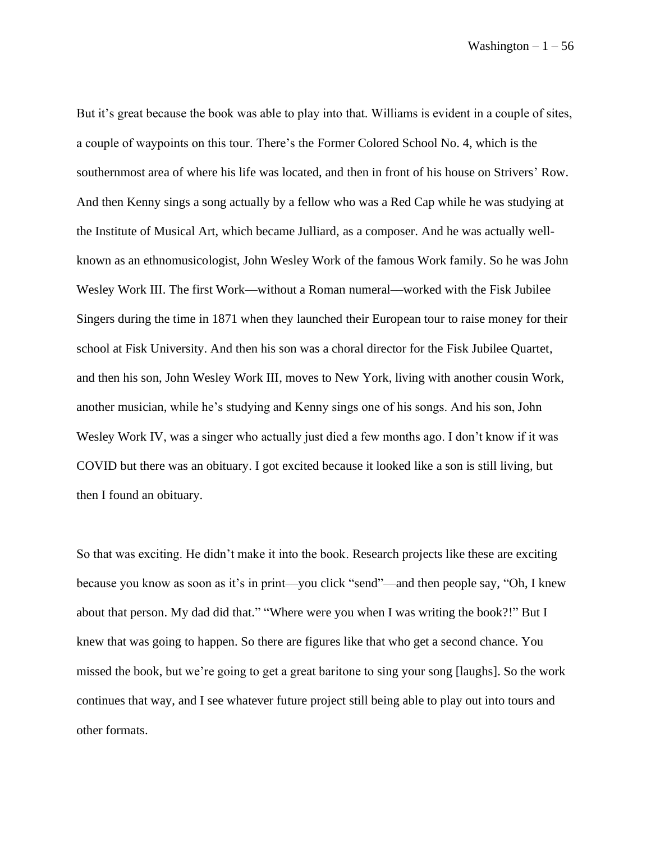But it's great because the book was able to play into that. Williams is evident in a couple of sites, a couple of waypoints on this tour. There's the Former Colored School No. 4, which is the southernmost area of where his life was located, and then in front of his house on Strivers' Row. And then Kenny sings a song actually by a fellow who was a Red Cap while he was studying at the Institute of Musical Art, which became Julliard, as a composer. And he was actually wellknown as an ethnomusicologist, John Wesley Work of the famous Work family. So he was John Wesley Work III. The first Work––without a Roman numeral––worked with the Fisk Jubilee Singers during the time in 1871 when they launched their European tour to raise money for their school at Fisk University. And then his son was a choral director for the Fisk Jubilee Quartet, and then his son, John Wesley Work III, moves to New York, living with another cousin Work, another musician, while he's studying and Kenny sings one of his songs. And his son, John Wesley Work IV, was a singer who actually just died a few months ago. I don't know if it was COVID but there was an obituary. I got excited because it looked like a son is still living, but then I found an obituary.

So that was exciting. He didn't make it into the book. Research projects like these are exciting because you know as soon as it's in print—you click "send"—and then people say, "Oh, I knew about that person. My dad did that." "Where were you when I was writing the book?!" But I knew that was going to happen. So there are figures like that who get a second chance. You missed the book, but we're going to get a great baritone to sing your song [laughs]. So the work continues that way, and I see whatever future project still being able to play out into tours and other formats.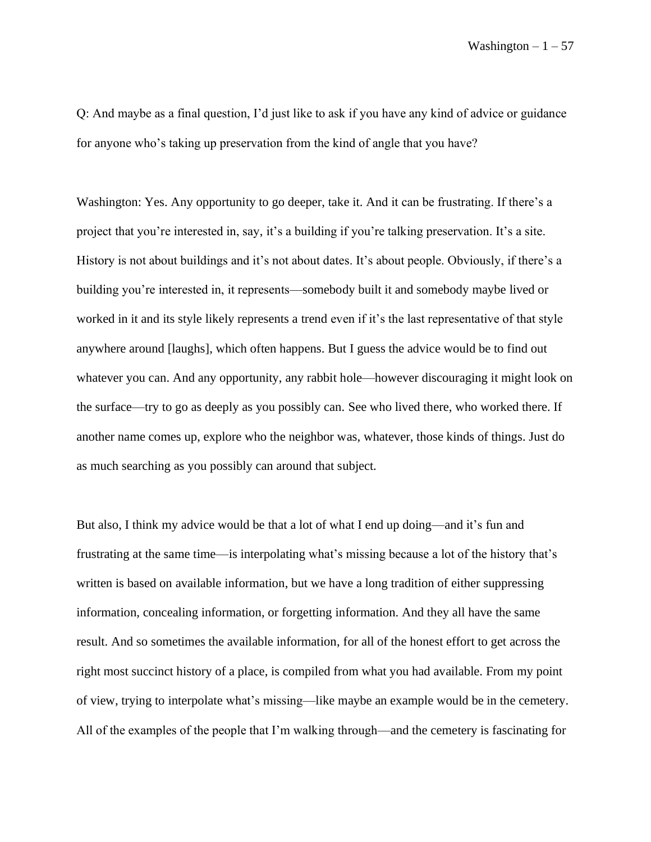Q: And maybe as a final question, I'd just like to ask if you have any kind of advice or guidance for anyone who's taking up preservation from the kind of angle that you have?

Washington: Yes. Any opportunity to go deeper, take it. And it can be frustrating. If there's a project that you're interested in, say, it's a building if you're talking preservation. It's a site. History is not about buildings and it's not about dates. It's about people. Obviously, if there's a building you're interested in, it represents—somebody built it and somebody maybe lived or worked in it and its style likely represents a trend even if it's the last representative of that style anywhere around [laughs], which often happens. But I guess the advice would be to find out whatever you can. And any opportunity, any rabbit hole—however discouraging it might look on the surface––try to go as deeply as you possibly can. See who lived there, who worked there. If another name comes up, explore who the neighbor was, whatever, those kinds of things. Just do as much searching as you possibly can around that subject.

But also, I think my advice would be that a lot of what I end up doing––and it's fun and frustrating at the same time––is interpolating what's missing because a lot of the history that's written is based on available information, but we have a long tradition of either suppressing information, concealing information, or forgetting information. And they all have the same result. And so sometimes the available information, for all of the honest effort to get across the right most succinct history of a place, is compiled from what you had available. From my point of view, trying to interpolate what's missing—like maybe an example would be in the cemetery. All of the examples of the people that I'm walking through––and the cemetery is fascinating for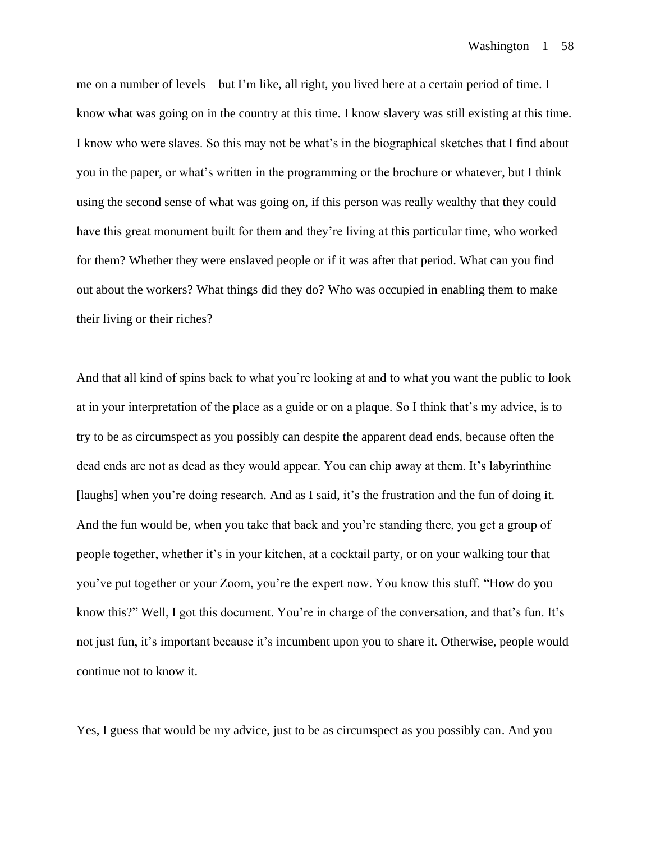me on a number of levels––but I'm like, all right, you lived here at a certain period of time. I know what was going on in the country at this time. I know slavery was still existing at this time. I know who were slaves. So this may not be what's in the biographical sketches that I find about you in the paper, or what's written in the programming or the brochure or whatever, but I think using the second sense of what was going on, if this person was really wealthy that they could have this great monument built for them and they're living at this particular time, who worked for them? Whether they were enslaved people or if it was after that period. What can you find out about the workers? What things did they do? Who was occupied in enabling them to make their living or their riches?

And that all kind of spins back to what you're looking at and to what you want the public to look at in your interpretation of the place as a guide or on a plaque. So I think that's my advice, is to try to be as circumspect as you possibly can despite the apparent dead ends, because often the dead ends are not as dead as they would appear. You can chip away at them. It's labyrinthine [laughs] when you're doing research. And as I said, it's the frustration and the fun of doing it. And the fun would be, when you take that back and you're standing there, you get a group of people together, whether it's in your kitchen, at a cocktail party, or on your walking tour that you've put together or your Zoom, you're the expert now. You know this stuff. "How do you know this?" Well, I got this document. You're in charge of the conversation, and that's fun. It's not just fun, it's important because it's incumbent upon you to share it. Otherwise, people would continue not to know it.

Yes, I guess that would be my advice, just to be as circumspect as you possibly can. And you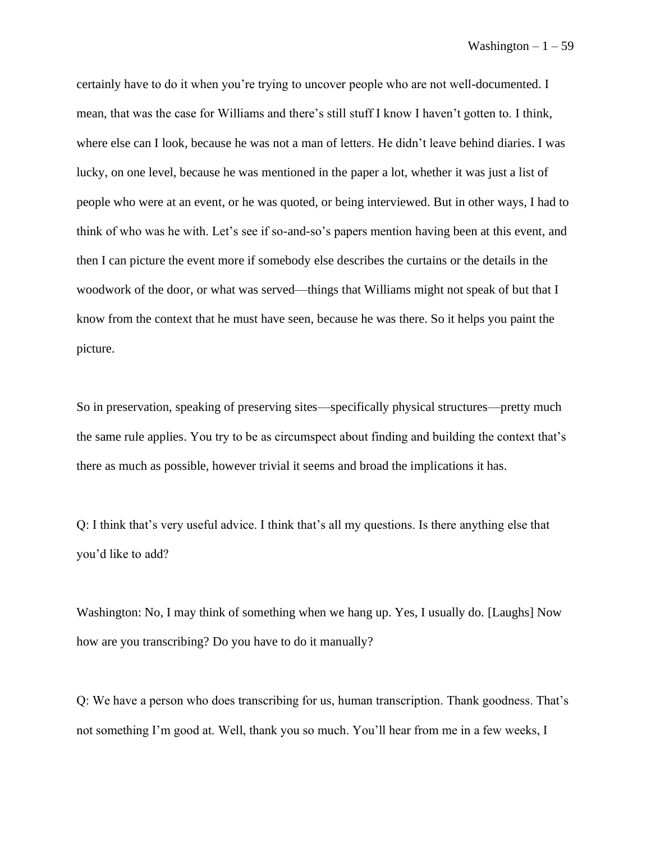certainly have to do it when you're trying to uncover people who are not well-documented. I mean, that was the case for Williams and there's still stuff I know I haven't gotten to. I think, where else can I look, because he was not a man of letters. He didn't leave behind diaries. I was lucky, on one level, because he was mentioned in the paper a lot, whether it was just a list of people who were at an event, or he was quoted, or being interviewed. But in other ways, I had to think of who was he with. Let's see if so-and-so's papers mention having been at this event, and then I can picture the event more if somebody else describes the curtains or the details in the woodwork of the door, or what was served––things that Williams might not speak of but that I know from the context that he must have seen, because he was there. So it helps you paint the picture.

So in preservation, speaking of preserving sites––specifically physical structures––pretty much the same rule applies. You try to be as circumspect about finding and building the context that's there as much as possible, however trivial it seems and broad the implications it has.

Q: I think that's very useful advice. I think that's all my questions. Is there anything else that you'd like to add?

Washington: No, I may think of something when we hang up. Yes, I usually do. [Laughs] Now how are you transcribing? Do you have to do it manually?

Q: We have a person who does transcribing for us, human transcription. Thank goodness. That's not something I'm good at. Well, thank you so much. You'll hear from me in a few weeks, I